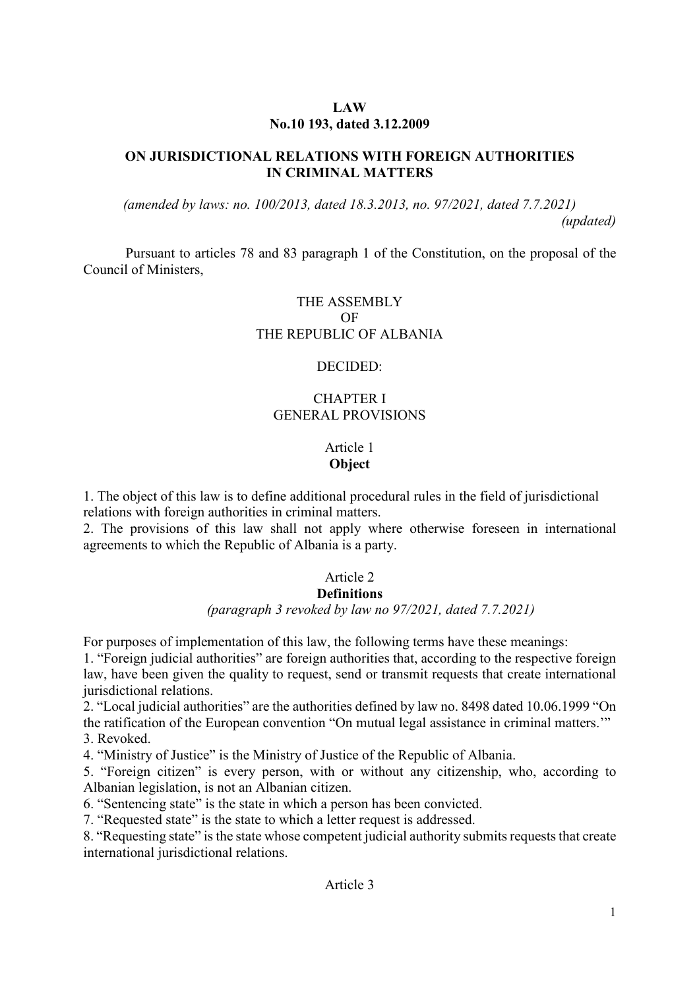# **LAW No.10 193, dated 3.12.2009**

# **ON JURISDICTIONAL RELATIONS WITH FOREIGN AUTHORITIES IN CRIMINAL MATTERS**

*(amended by laws: no. 100/2013, dated 18.3.2013, no. 97/2021, dated 7.7.2021) (updated)* 

Pursuant to articles 78 and 83 paragraph 1 of the Constitution, on the proposal of the Council of Ministers,

# THE ASSEMBLY OF THE REPUBLIC OF ALBANIA

# DECIDED:

# CHAPTER I GENERAL PROVISIONS

# Article 1 **Object**

1. The object of this law is to define additional procedural rules in the field of jurisdictional relations with foreign authorities in criminal matters.

2. The provisions of this law shall not apply where otherwise foreseen in international agreements to which the Republic of Albania is a party.

# Article 2

## **Definitions**

## *(paragraph 3 revoked by law no 97/2021, dated 7.7.2021)*

For purposes of implementation of this law, the following terms have these meanings:

1. "Foreign judicial authorities" are foreign authorities that, according to the respective foreign law, have been given the quality to request, send or transmit requests that create international jurisdictional relations.

2. "Local judicial authorities" are the authorities defined by law no. 8498 dated 10.06.1999 "On the ratification of the European convention "On mutual legal assistance in criminal matters.'" 3. Revoked.

4. "Ministry of Justice" is the Ministry of Justice of the Republic of Albania.

5. "Foreign citizen" is every person, with or without any citizenship, who, according to Albanian legislation, is not an Albanian citizen.

6. "Sentencing state" is the state in which a person has been convicted.

7. "Requested state" is the state to which a letter request is addressed.

8. "Requesting state" is the state whose competent judicial authority submits requests that create international jurisdictional relations.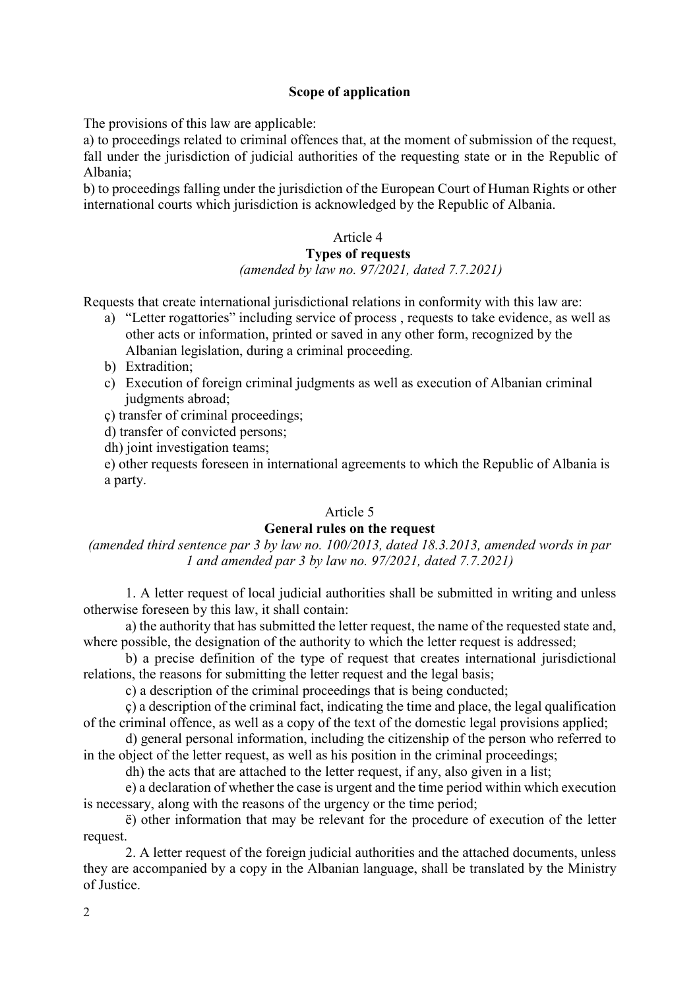# **Scope of application**

The provisions of this law are applicable:

a) to proceedings related to criminal offences that, at the moment of submission of the request, fall under the jurisdiction of judicial authorities of the requesting state or in the Republic of Albania;

b) to proceedings falling under the jurisdiction of the European Court of Human Rights or other international courts which jurisdiction is acknowledged by the Republic of Albania.

# Article 4

## **Types of requests**

#### *(amended by law no. 97/2021, dated 7.7.2021)*

Requests that create international jurisdictional relations in conformity with this law are:

- a) "Letter rogattories" including service of process , requests to take evidence, as well as other acts or information, printed or saved in any other form, recognized by the Albanian legislation, during a criminal proceeding.
- b) Extradition;
- c) Execution of foreign criminal judgments as well as execution of Albanian criminal judgments abroad;
- ç) transfer of criminal proceedings;
- d) transfer of convicted persons;
- dh) joint investigation teams;

e) other requests foreseen in international agreements to which the Republic of Albania is a party.

#### Article 5

#### **General rules on the request**

*(amended third sentence par 3 by law no. 100/2013, dated 18.3.2013, amended words in par 1 and amended par 3 by law no. 97/2021, dated 7.7.2021)* 

1. A letter request of local judicial authorities shall be submitted in writing and unless otherwise foreseen by this law, it shall contain:

a) the authority that has submitted the letter request, the name of the requested state and, where possible, the designation of the authority to which the letter request is addressed;

b) a precise definition of the type of request that creates international jurisdictional relations, the reasons for submitting the letter request and the legal basis;

c) a description of the criminal proceedings that is being conducted;

ç) a description of the criminal fact, indicating the time and place, the legal qualification of the criminal offence, as well as a copy of the text of the domestic legal provisions applied;

d) general personal information, including the citizenship of the person who referred to in the object of the letter request, as well as his position in the criminal proceedings;

dh) the acts that are attached to the letter request, if any, also given in a list;

e) a declaration of whether the case is urgent and the time period within which execution is necessary, along with the reasons of the urgency or the time period;

ë) other information that may be relevant for the procedure of execution of the letter request.

2. A letter request of the foreign judicial authorities and the attached documents, unless they are accompanied by a copy in the Albanian language, shall be translated by the Ministry of Justice.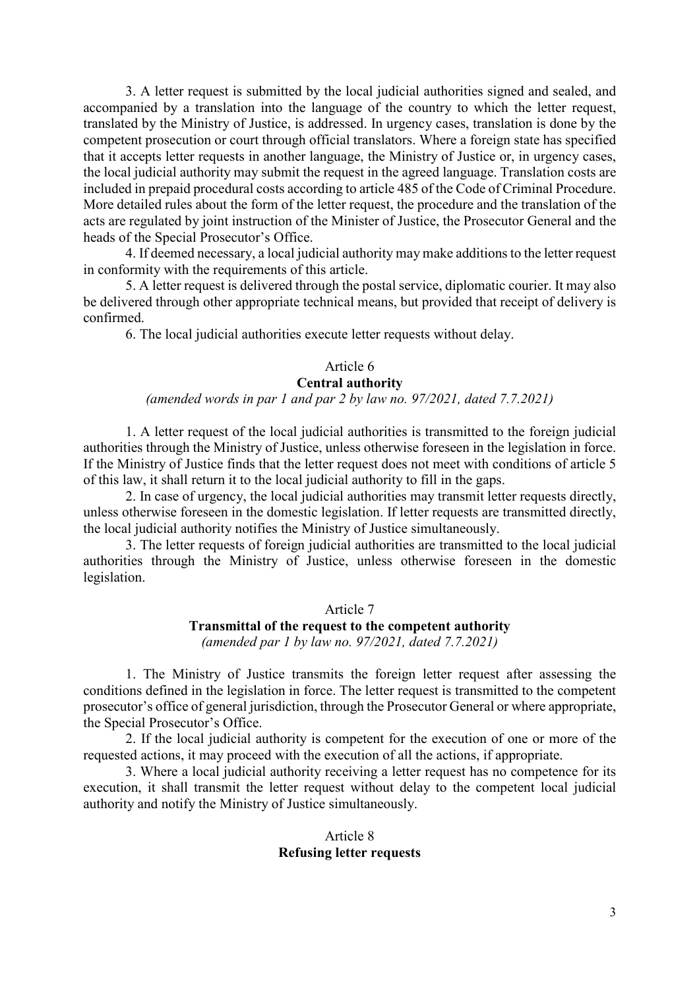3. A letter request is submitted by the local judicial authorities signed and sealed, and accompanied by a translation into the language of the country to which the letter request, translated by the Ministry of Justice, is addressed. In urgency cases, translation is done by the competent prosecution or court through official translators. Where a foreign state has specified that it accepts letter requests in another language, the Ministry of Justice or, in urgency cases, the local judicial authority may submit the request in the agreed language. Translation costs are included in prepaid procedural costs according to article 485 of the Code of Criminal Procedure. More detailed rules about the form of the letter request, the procedure and the translation of the acts are regulated by joint instruction of the Minister of Justice, the Prosecutor General and the heads of the Special Prosecutor's Office.

4. If deemed necessary, a local judicial authority may make additions to the letter request in conformity with the requirements of this article.

5. A letter request is delivered through the postal service, diplomatic courier. It may also be delivered through other appropriate technical means, but provided that receipt of delivery is confirmed.

6. The local judicial authorities execute letter requests without delay.

# Article 6

## **Central authority**

#### *(amended words in par 1 and par 2 by law no. 97/2021, dated 7.7.2021)*

1. A letter request of the local judicial authorities is transmitted to the foreign judicial authorities through the Ministry of Justice, unless otherwise foreseen in the legislation in force. If the Ministry of Justice finds that the letter request does not meet with conditions of article 5 of this law, it shall return it to the local judicial authority to fill in the gaps.

2. In case of urgency, the local judicial authorities may transmit letter requests directly, unless otherwise foreseen in the domestic legislation. If letter requests are transmitted directly, the local judicial authority notifies the Ministry of Justice simultaneously.

3. The letter requests of foreign judicial authorities are transmitted to the local judicial authorities through the Ministry of Justice, unless otherwise foreseen in the domestic legislation.

# Article 7

# **Transmittal of the request to the competent authority**

*(amended par 1 by law no. 97/2021, dated 7.7.2021)* 

1. The Ministry of Justice transmits the foreign letter request after assessing the conditions defined in the legislation in force. The letter request is transmitted to the competent prosecutor's office of general jurisdiction, through the Prosecutor General or where appropriate, the Special Prosecutor's Office.

2. If the local judicial authority is competent for the execution of one or more of the requested actions, it may proceed with the execution of all the actions, if appropriate.

3. Where a local judicial authority receiving a letter request has no competence for its execution, it shall transmit the letter request without delay to the competent local judicial authority and notify the Ministry of Justice simultaneously.

#### Article 8 **Refusing letter requests**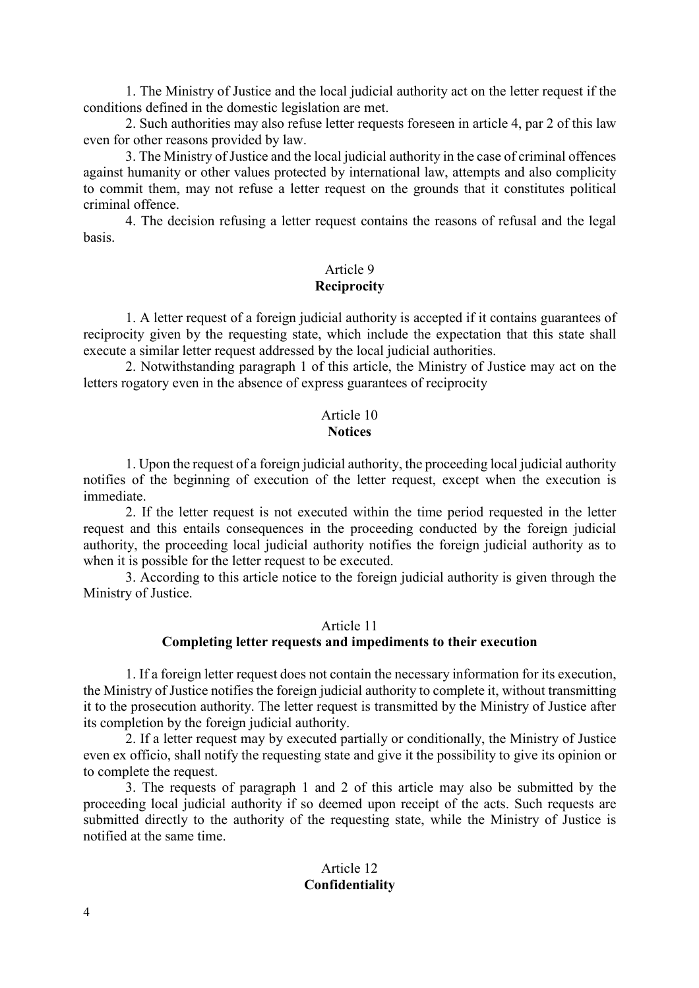1. The Ministry of Justice and the local judicial authority act on the letter request if the conditions defined in the domestic legislation are met.

2. Such authorities may also refuse letter requests foreseen in article 4, par 2 of this law even for other reasons provided by law.

3. The Ministry of Justice and the local judicial authority in the case of criminal offences against humanity or other values protected by international law, attempts and also complicity to commit them, may not refuse a letter request on the grounds that it constitutes political criminal offence.

4. The decision refusing a letter request contains the reasons of refusal and the legal basis.

## Article 9 **Reciprocity**

1. A letter request of a foreign judicial authority is accepted if it contains guarantees of reciprocity given by the requesting state, which include the expectation that this state shall execute a similar letter request addressed by the local judicial authorities.

2. Notwithstanding paragraph 1 of this article, the Ministry of Justice may act on the letters rogatory even in the absence of express guarantees of reciprocity

#### Article 10 **Notices**

1. Upon the request of a foreign judicial authority, the proceeding local judicial authority notifies of the beginning of execution of the letter request, except when the execution is immediate.

2. If the letter request is not executed within the time period requested in the letter request and this entails consequences in the proceeding conducted by the foreign judicial authority, the proceeding local judicial authority notifies the foreign judicial authority as to when it is possible for the letter request to be executed.

3. According to this article notice to the foreign judicial authority is given through the Ministry of Justice.

## Article 11

# **Completing letter requests and impediments to their execution**

1. If a foreign letter request does not contain the necessary information for its execution, the Ministry of Justice notifies the foreign judicial authority to complete it, without transmitting it to the prosecution authority. The letter request is transmitted by the Ministry of Justice after its completion by the foreign judicial authority.

2. If a letter request may by executed partially or conditionally, the Ministry of Justice even ex officio, shall notify the requesting state and give it the possibility to give its opinion or to complete the request.

3. The requests of paragraph 1 and 2 of this article may also be submitted by the proceeding local judicial authority if so deemed upon receipt of the acts. Such requests are submitted directly to the authority of the requesting state, while the Ministry of Justice is notified at the same time.

# Article 12 **Confidentiality**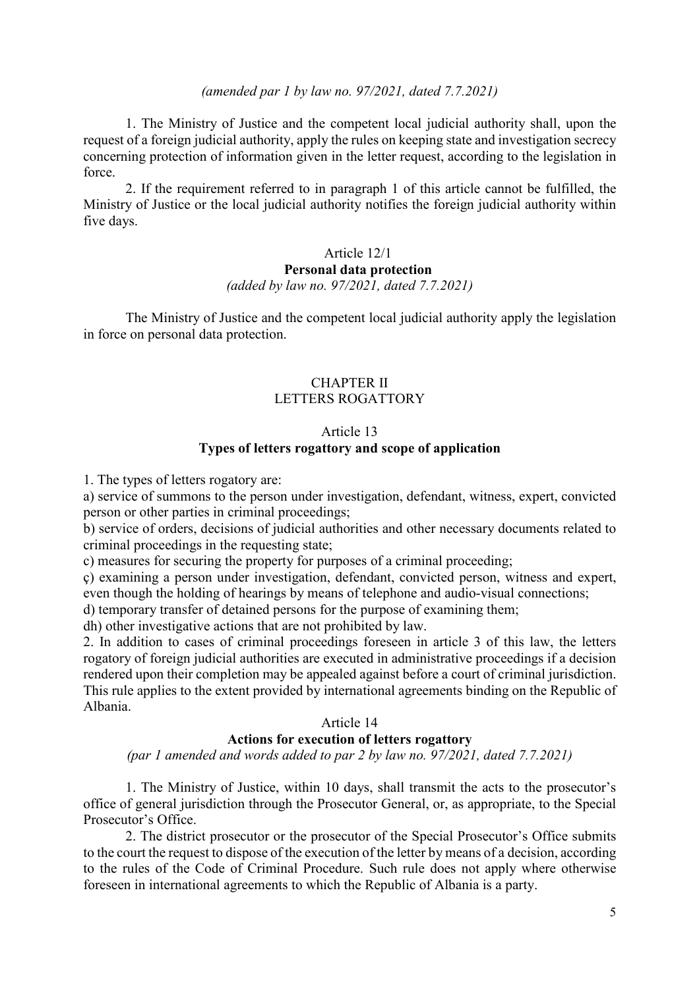#### *(amended par 1 by law no. 97/2021, dated 7.7.2021)*

1. The Ministry of Justice and the competent local judicial authority shall, upon the request of a foreign judicial authority, apply the rules on keeping state and investigation secrecy concerning protection of information given in the letter request, according to the legislation in force.

2. If the requirement referred to in paragraph 1 of this article cannot be fulfilled, the Ministry of Justice or the local judicial authority notifies the foreign judicial authority within five days.

## Article 12/1 **Personal data protection**  *(added by law no. 97/2021, dated 7.7.2021)*

The Ministry of Justice and the competent local judicial authority apply the legislation in force on personal data protection.

## CHAPTER II LETTERS ROGATTORY

## Article 13 **Types of letters rogattory and scope of application**

1. The types of letters rogatory are:

a) service of summons to the person under investigation, defendant, witness, expert, convicted person or other parties in criminal proceedings;

b) service of orders, decisions of judicial authorities and other necessary documents related to criminal proceedings in the requesting state;

c) measures for securing the property for purposes of a criminal proceeding;

ç) examining a person under investigation, defendant, convicted person, witness and expert, even though the holding of hearings by means of telephone and audio-visual connections;

d) temporary transfer of detained persons for the purpose of examining them;

dh) other investigative actions that are not prohibited by law.

2. In addition to cases of criminal proceedings foreseen in article 3 of this law, the letters rogatory of foreign judicial authorities are executed in administrative proceedings if a decision rendered upon their completion may be appealed against before a court of criminal jurisdiction. This rule applies to the extent provided by international agreements binding on the Republic of Albania.

#### Article 14

#### **Actions for execution of letters rogattory**

*(par 1 amended and words added to par 2 by law no. 97/2021, dated 7.7.2021)* 

1. The Ministry of Justice, within 10 days, shall transmit the acts to the prosecutor's office of general jurisdiction through the Prosecutor General, or, as appropriate, to the Special Prosecutor's Office.

2. The district prosecutor or the prosecutor of the Special Prosecutor's Office submits to the court the request to dispose of the execution of the letter by means of a decision, according to the rules of the Code of Criminal Procedure. Such rule does not apply where otherwise foreseen in international agreements to which the Republic of Albania is a party.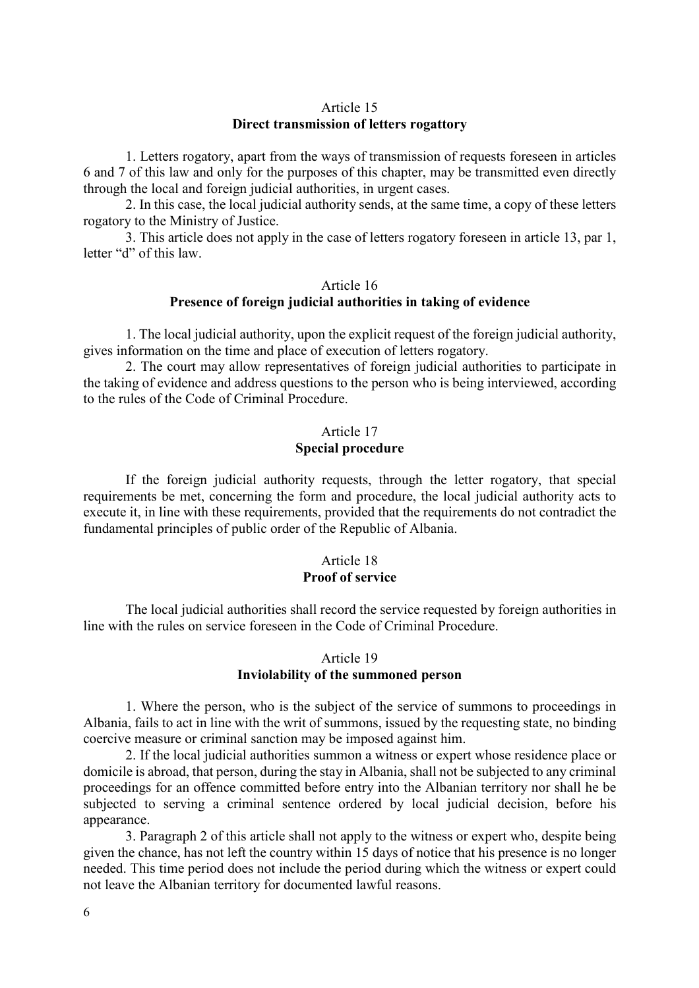### Article 15 **Direct transmission of letters rogattory**

1. Letters rogatory, apart from the ways of transmission of requests foreseen in articles 6 and 7 of this law and only for the purposes of this chapter, may be transmitted even directly through the local and foreign judicial authorities, in urgent cases.

2. In this case, the local judicial authority sends, at the same time, a copy of these letters rogatory to the Ministry of Justice.

3. This article does not apply in the case of letters rogatory foreseen in article 13, par 1, letter "d" of this law.

#### Article 16 **Presence of foreign judicial authorities in taking of evidence**

1. The local judicial authority, upon the explicit request of the foreign judicial authority, gives information on the time and place of execution of letters rogatory.

2. The court may allow representatives of foreign judicial authorities to participate in the taking of evidence and address questions to the person who is being interviewed, according to the rules of the Code of Criminal Procedure.

## Article 17 **Special procedure**

If the foreign judicial authority requests, through the letter rogatory, that special requirements be met, concerning the form and procedure, the local judicial authority acts to execute it, in line with these requirements, provided that the requirements do not contradict the fundamental principles of public order of the Republic of Albania.

# Article 18 **Proof of service**

The local judicial authorities shall record the service requested by foreign authorities in line with the rules on service foreseen in the Code of Criminal Procedure.

## Article 19 **Inviolability of the summoned person**

1. Where the person, who is the subject of the service of summons to proceedings in Albania, fails to act in line with the writ of summons, issued by the requesting state, no binding coercive measure or criminal sanction may be imposed against him.

2. If the local judicial authorities summon a witness or expert whose residence place or domicile is abroad, that person, during the stay in Albania, shall not be subjected to any criminal proceedings for an offence committed before entry into the Albanian territory nor shall he be subjected to serving a criminal sentence ordered by local judicial decision, before his appearance.

3. Paragraph 2 of this article shall not apply to the witness or expert who, despite being given the chance, has not left the country within 15 days of notice that his presence is no longer needed. This time period does not include the period during which the witness or expert could not leave the Albanian territory for documented lawful reasons.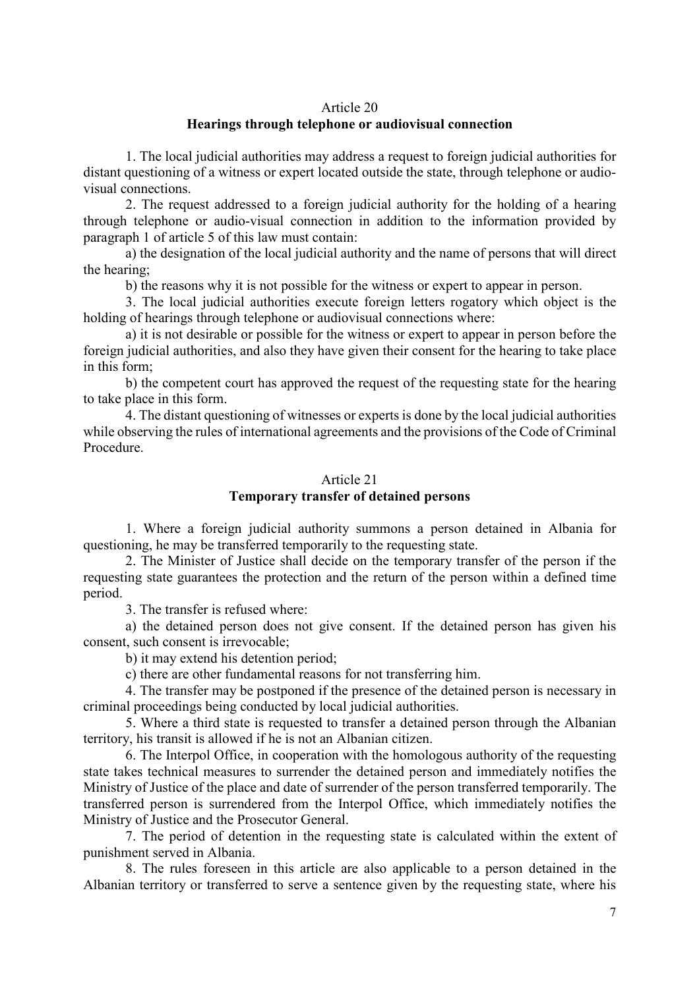#### Article 20

## **Hearings through telephone or audiovisual connection**

1. The local judicial authorities may address a request to foreign judicial authorities for distant questioning of a witness or expert located outside the state, through telephone or audiovisual connections.

2. The request addressed to a foreign judicial authority for the holding of a hearing through telephone or audio-visual connection in addition to the information provided by paragraph 1 of article 5 of this law must contain:

a) the designation of the local judicial authority and the name of persons that will direct the hearing;

b) the reasons why it is not possible for the witness or expert to appear in person.

3. The local judicial authorities execute foreign letters rogatory which object is the holding of hearings through telephone or audiovisual connections where:

a) it is not desirable or possible for the witness or expert to appear in person before the foreign judicial authorities, and also they have given their consent for the hearing to take place in this form;

b) the competent court has approved the request of the requesting state for the hearing to take place in this form.

4. The distant questioning of witnesses or experts is done by the local judicial authorities while observing the rules of international agreements and the provisions of the Code of Criminal Procedure.

#### Article 21

## **Temporary transfer of detained persons**

1. Where a foreign judicial authority summons a person detained in Albania for questioning, he may be transferred temporarily to the requesting state.

2. The Minister of Justice shall decide on the temporary transfer of the person if the requesting state guarantees the protection and the return of the person within a defined time period.

3. The transfer is refused where:

a) the detained person does not give consent. If the detained person has given his consent, such consent is irrevocable;

b) it may extend his detention period;

c) there are other fundamental reasons for not transferring him.

4. The transfer may be postponed if the presence of the detained person is necessary in criminal proceedings being conducted by local judicial authorities.

5. Where a third state is requested to transfer a detained person through the Albanian territory, his transit is allowed if he is not an Albanian citizen.

6. The Interpol Office, in cooperation with the homologous authority of the requesting state takes technical measures to surrender the detained person and immediately notifies the Ministry of Justice of the place and date of surrender of the person transferred temporarily. The transferred person is surrendered from the Interpol Office, which immediately notifies the Ministry of Justice and the Prosecutor General.

7. The period of detention in the requesting state is calculated within the extent of punishment served in Albania.

8. The rules foreseen in this article are also applicable to a person detained in the Albanian territory or transferred to serve a sentence given by the requesting state, where his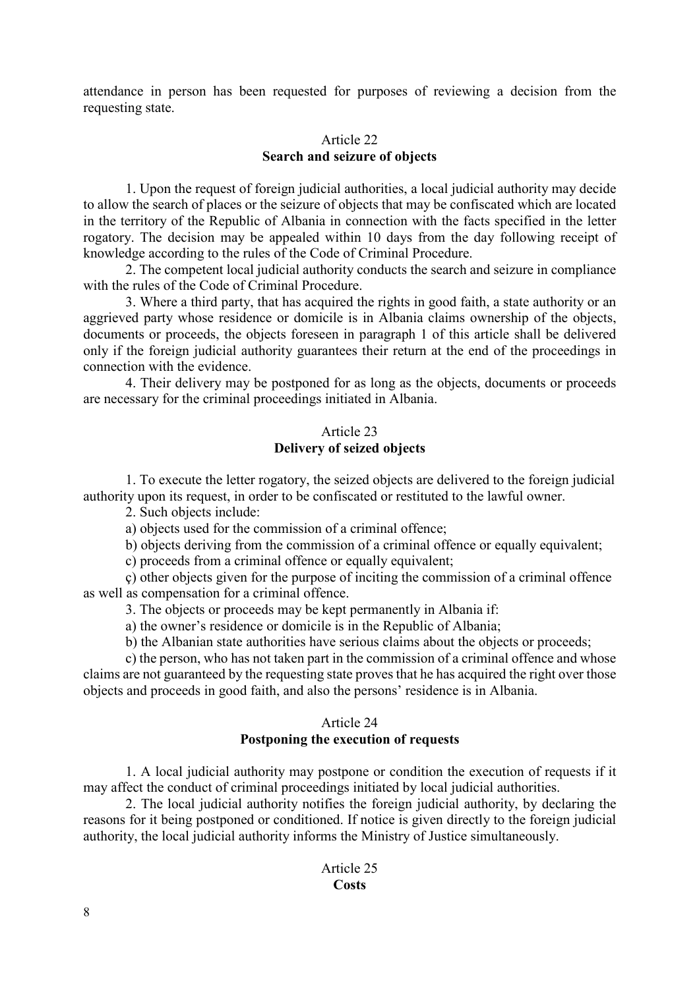attendance in person has been requested for purposes of reviewing a decision from the requesting state.

# Article 22 **Search and seizure of objects**

1. Upon the request of foreign judicial authorities, a local judicial authority may decide to allow the search of places or the seizure of objects that may be confiscated which are located in the territory of the Republic of Albania in connection with the facts specified in the letter rogatory. The decision may be appealed within 10 days from the day following receipt of knowledge according to the rules of the Code of Criminal Procedure.

2. The competent local judicial authority conducts the search and seizure in compliance with the rules of the Code of Criminal Procedure.

3. Where a third party, that has acquired the rights in good faith, a state authority or an aggrieved party whose residence or domicile is in Albania claims ownership of the objects, documents or proceeds, the objects foreseen in paragraph 1 of this article shall be delivered only if the foreign judicial authority guarantees their return at the end of the proceedings in connection with the evidence.

4. Their delivery may be postponed for as long as the objects, documents or proceeds are necessary for the criminal proceedings initiated in Albania.

# Article 23 **Delivery of seized objects**

1. To execute the letter rogatory, the seized objects are delivered to the foreign judicial authority upon its request, in order to be confiscated or restituted to the lawful owner.

2. Such objects include:

a) objects used for the commission of a criminal offence;

b) objects deriving from the commission of a criminal offence or equally equivalent;

c) proceeds from a criminal offence or equally equivalent;

ç) other objects given for the purpose of inciting the commission of a criminal offence as well as compensation for a criminal offence.

3. The objects or proceeds may be kept permanently in Albania if:

a) the owner's residence or domicile is in the Republic of Albania;

b) the Albanian state authorities have serious claims about the objects or proceeds;

c) the person, who has not taken part in the commission of a criminal offence and whose claims are not guaranteed by the requesting state proves that he has acquired the right over those objects and proceeds in good faith, and also the persons' residence is in Albania.

## Article 24

# **Postponing the execution of requests**

1. A local judicial authority may postpone or condition the execution of requests if it may affect the conduct of criminal proceedings initiated by local judicial authorities.

2. The local judicial authority notifies the foreign judicial authority, by declaring the reasons for it being postponed or conditioned. If notice is given directly to the foreign judicial authority, the local judicial authority informs the Ministry of Justice simultaneously.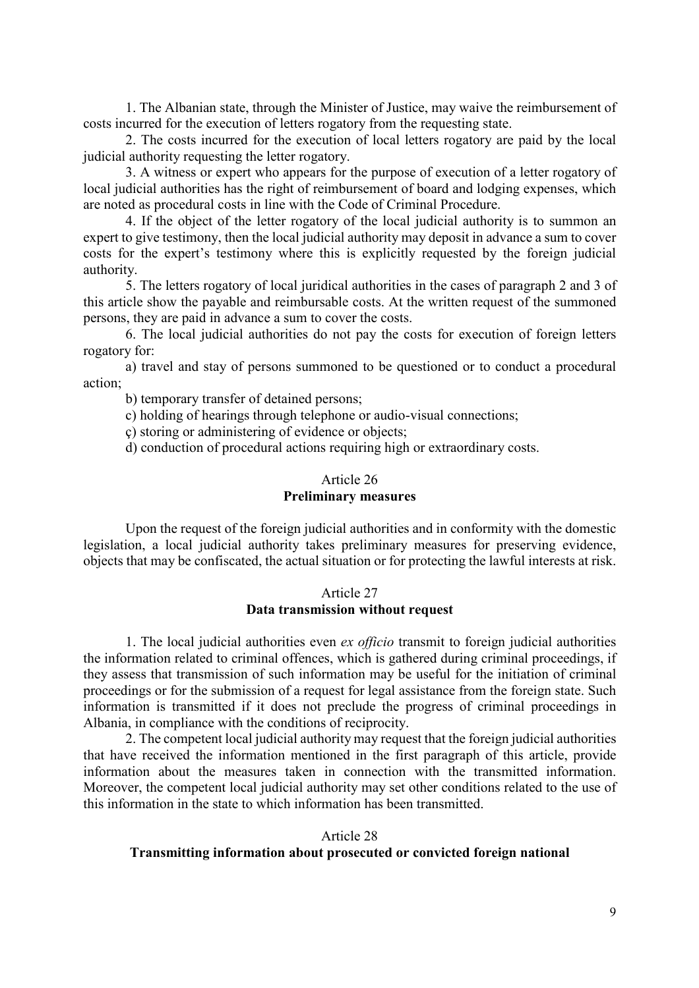1. The Albanian state, through the Minister of Justice, may waive the reimbursement of costs incurred for the execution of letters rogatory from the requesting state.

2. The costs incurred for the execution of local letters rogatory are paid by the local judicial authority requesting the letter rogatory.

3. A witness or expert who appears for the purpose of execution of a letter rogatory of local judicial authorities has the right of reimbursement of board and lodging expenses, which are noted as procedural costs in line with the Code of Criminal Procedure.

4. If the object of the letter rogatory of the local judicial authority is to summon an expert to give testimony, then the local judicial authority may deposit in advance a sum to cover costs for the expert's testimony where this is explicitly requested by the foreign judicial authority.

5. The letters rogatory of local juridical authorities in the cases of paragraph 2 and 3 of this article show the payable and reimbursable costs. At the written request of the summoned persons, they are paid in advance a sum to cover the costs.

6. The local judicial authorities do not pay the costs for execution of foreign letters rogatory for:

a) travel and stay of persons summoned to be questioned or to conduct a procedural action;

b) temporary transfer of detained persons;

c) holding of hearings through telephone or audio-visual connections;

ç) storing or administering of evidence or objects;

d) conduction of procedural actions requiring high or extraordinary costs.

#### Article 26

## **Preliminary measures**

Upon the request of the foreign judicial authorities and in conformity with the domestic legislation, a local judicial authority takes preliminary measures for preserving evidence, objects that may be confiscated, the actual situation or for protecting the lawful interests at risk.

#### Article 27 **Data transmission without request**

1. The local judicial authorities even *ex officio* transmit to foreign judicial authorities the information related to criminal offences, which is gathered during criminal proceedings, if they assess that transmission of such information may be useful for the initiation of criminal proceedings or for the submission of a request for legal assistance from the foreign state. Such information is transmitted if it does not preclude the progress of criminal proceedings in Albania, in compliance with the conditions of reciprocity.

2. The competent local judicial authority may request that the foreign judicial authorities that have received the information mentioned in the first paragraph of this article, provide information about the measures taken in connection with the transmitted information. Moreover, the competent local judicial authority may set other conditions related to the use of this information in the state to which information has been transmitted.

#### Article 28

## **Transmitting information about prosecuted or convicted foreign national**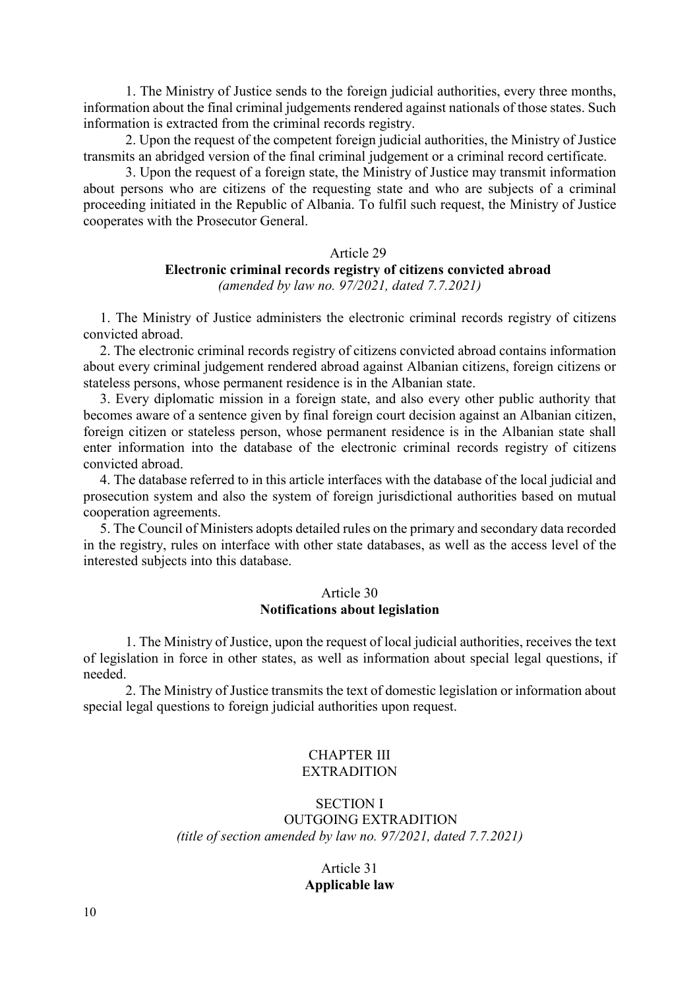1. The Ministry of Justice sends to the foreign judicial authorities, every three months, information about the final criminal judgements rendered against nationals of those states. Such information is extracted from the criminal records registry.

2. Upon the request of the competent foreign judicial authorities, the Ministry of Justice transmits an abridged version of the final criminal judgement or a criminal record certificate.

3. Upon the request of a foreign state, the Ministry of Justice may transmit information about persons who are citizens of the requesting state and who are subjects of a criminal proceeding initiated in the Republic of Albania. To fulfil such request, the Ministry of Justice cooperates with the Prosecutor General.

#### Article 29

#### **Electronic criminal records registry of citizens convicted abroad**  *(amended by law no. 97/2021, dated 7.7.2021)*

1. The Ministry of Justice administers the electronic criminal records registry of citizens convicted abroad.

2. The electronic criminal records registry of citizens convicted abroad contains information about every criminal judgement rendered abroad against Albanian citizens, foreign citizens or stateless persons, whose permanent residence is in the Albanian state.

3. Every diplomatic mission in a foreign state, and also every other public authority that becomes aware of a sentence given by final foreign court decision against an Albanian citizen, foreign citizen or stateless person, whose permanent residence is in the Albanian state shall enter information into the database of the electronic criminal records registry of citizens convicted abroad.

4. The database referred to in this article interfaces with the database of the local judicial and prosecution system and also the system of foreign jurisdictional authorities based on mutual cooperation agreements.

5. The Council of Ministers adopts detailed rules on the primary and secondary data recorded in the registry, rules on interface with other state databases, as well as the access level of the interested subjects into this database.

#### Article 30 **Notifications about legislation**

1. The Ministry of Justice, upon the request of local judicial authorities, receives the text of legislation in force in other states, as well as information about special legal questions, if needed.

2. The Ministry of Justice transmits the text of domestic legislation or information about special legal questions to foreign judicial authorities upon request.

#### CHAPTER III EXTRADITION

# SECTION I OUTGOING EXTRADITION *(title of section amended by law no. 97/2021, dated 7.7.2021)*

Article 31 **Applicable law**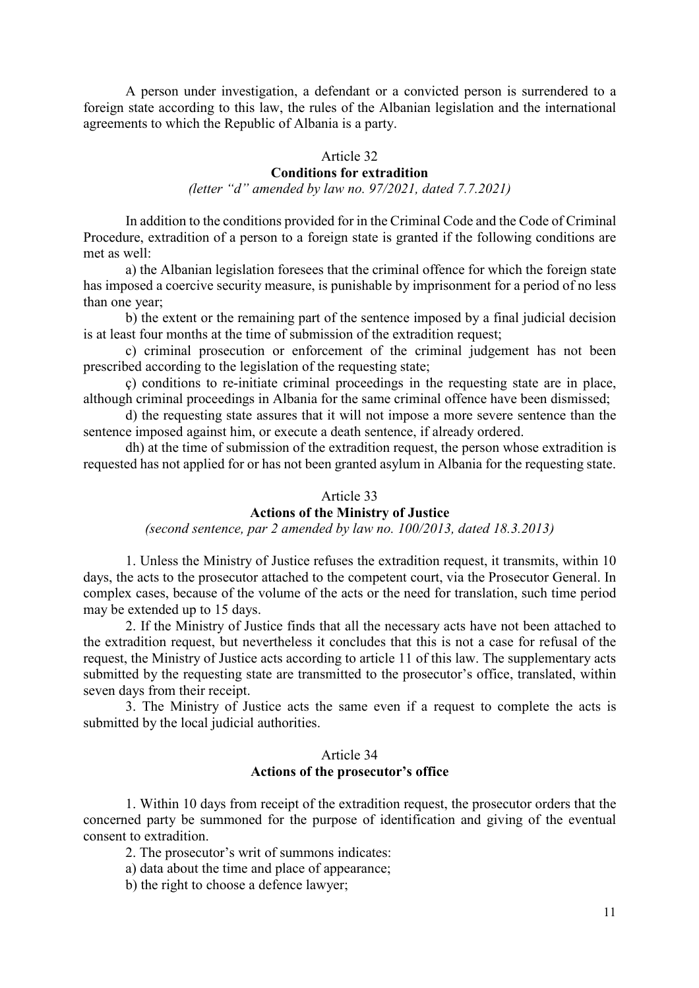A person under investigation, a defendant or a convicted person is surrendered to a foreign state according to this law, the rules of the Albanian legislation and the international agreements to which the Republic of Albania is a party.

#### Article 32

## **Conditions for extradition**

*(letter "d" amended by law no. 97/2021, dated 7.7.2021)* 

In addition to the conditions provided for in the Criminal Code and the Code of Criminal Procedure, extradition of a person to a foreign state is granted if the following conditions are met as well:

a) the Albanian legislation foresees that the criminal offence for which the foreign state has imposed a coercive security measure, is punishable by imprisonment for a period of no less than one year;

b) the extent or the remaining part of the sentence imposed by a final judicial decision is at least four months at the time of submission of the extradition request;

c) criminal prosecution or enforcement of the criminal judgement has not been prescribed according to the legislation of the requesting state;

ç) conditions to re-initiate criminal proceedings in the requesting state are in place, although criminal proceedings in Albania for the same criminal offence have been dismissed;

d) the requesting state assures that it will not impose a more severe sentence than the sentence imposed against him, or execute a death sentence, if already ordered.

dh) at the time of submission of the extradition request, the person whose extradition is requested has not applied for or has not been granted asylum in Albania for the requesting state.

# Article 33

## **Actions of the Ministry of Justice**

*(second sentence, par 2 amended by law no. 100/2013, dated 18.3.2013)* 

1. Unless the Ministry of Justice refuses the extradition request, it transmits, within 10 days, the acts to the prosecutor attached to the competent court, via the Prosecutor General. In complex cases, because of the volume of the acts or the need for translation, such time period may be extended up to 15 days.

2. If the Ministry of Justice finds that all the necessary acts have not been attached to the extradition request, but nevertheless it concludes that this is not a case for refusal of the request, the Ministry of Justice acts according to article 11 of this law. The supplementary acts submitted by the requesting state are transmitted to the prosecutor's office, translated, within seven days from their receipt.

3. The Ministry of Justice acts the same even if a request to complete the acts is submitted by the local judicial authorities.

#### Article 34 **Actions of the prosecutor's office**

1. Within 10 days from receipt of the extradition request, the prosecutor orders that the concerned party be summoned for the purpose of identification and giving of the eventual consent to extradition.

2. The prosecutor's writ of summons indicates:

a) data about the time and place of appearance;

b) the right to choose a defence lawyer;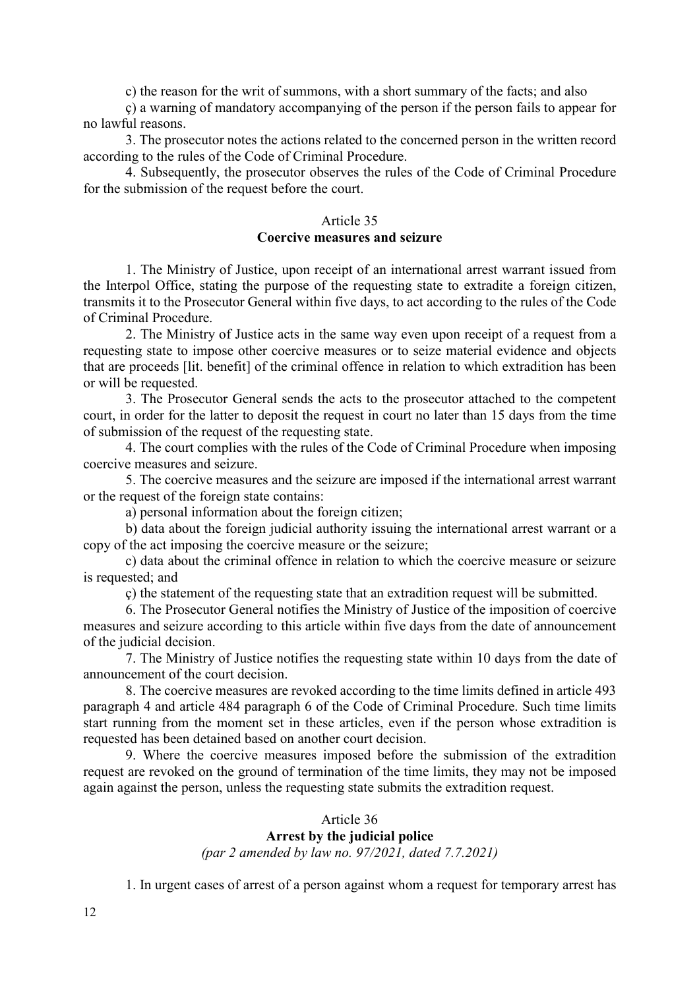c) the reason for the writ of summons, with a short summary of the facts; and also

ç) a warning of mandatory accompanying of the person if the person fails to appear for no lawful reasons.

3. The prosecutor notes the actions related to the concerned person in the written record according to the rules of the Code of Criminal Procedure.

4. Subsequently, the prosecutor observes the rules of the Code of Criminal Procedure for the submission of the request before the court.

#### Article 35

## **Coercive measures and seizure**

1. The Ministry of Justice, upon receipt of an international arrest warrant issued from the Interpol Office, stating the purpose of the requesting state to extradite a foreign citizen, transmits it to the Prosecutor General within five days, to act according to the rules of the Code of Criminal Procedure.

2. The Ministry of Justice acts in the same way even upon receipt of a request from a requesting state to impose other coercive measures or to seize material evidence and objects that are proceeds [lit. benefit] of the criminal offence in relation to which extradition has been or will be requested.

3. The Prosecutor General sends the acts to the prosecutor attached to the competent court, in order for the latter to deposit the request in court no later than 15 days from the time of submission of the request of the requesting state.

4. The court complies with the rules of the Code of Criminal Procedure when imposing coercive measures and seizure.

5. The coercive measures and the seizure are imposed if the international arrest warrant or the request of the foreign state contains:

a) personal information about the foreign citizen;

b) data about the foreign judicial authority issuing the international arrest warrant or a copy of the act imposing the coercive measure or the seizure;

c) data about the criminal offence in relation to which the coercive measure or seizure is requested; and

ç) the statement of the requesting state that an extradition request will be submitted.

6. The Prosecutor General notifies the Ministry of Justice of the imposition of coercive measures and seizure according to this article within five days from the date of announcement of the judicial decision.

7. The Ministry of Justice notifies the requesting state within 10 days from the date of announcement of the court decision.

8. The coercive measures are revoked according to the time limits defined in article 493 paragraph 4 and article 484 paragraph 6 of the Code of Criminal Procedure. Such time limits start running from the moment set in these articles, even if the person whose extradition is requested has been detained based on another court decision.

9. Where the coercive measures imposed before the submission of the extradition request are revoked on the ground of termination of the time limits, they may not be imposed again against the person, unless the requesting state submits the extradition request.

#### Article 36

# **Arrest by the judicial police**

*(par 2 amended by law no. 97/2021, dated 7.7.2021)* 

1. In urgent cases of arrest of a person against whom a request for temporary arrest has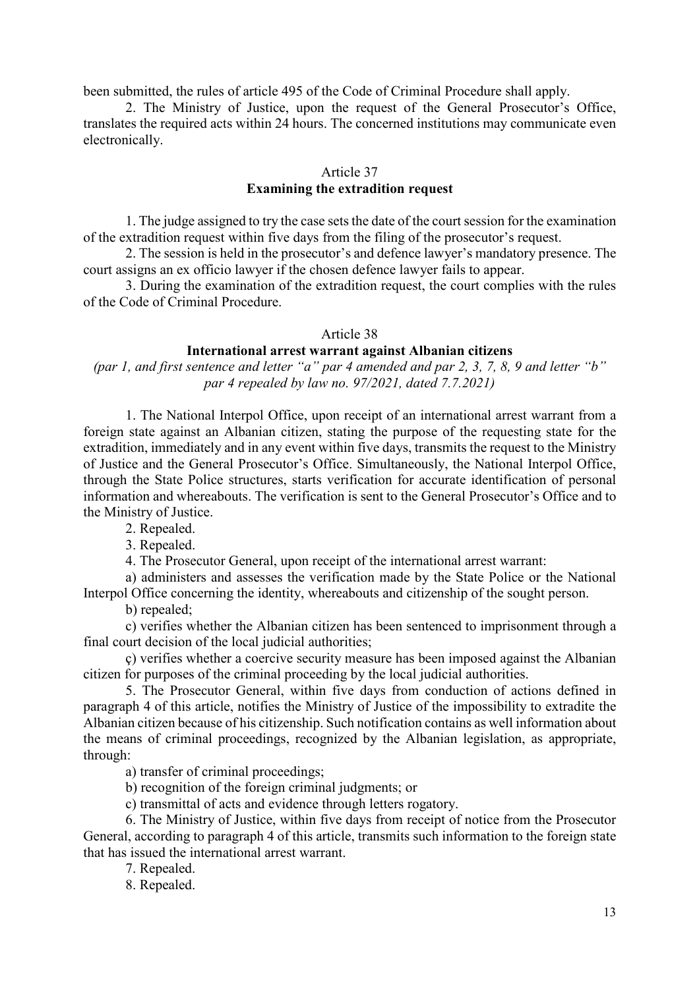been submitted, the rules of article 495 of the Code of Criminal Procedure shall apply.

2. The Ministry of Justice, upon the request of the General Prosecutor's Office, translates the required acts within 24 hours. The concerned institutions may communicate even electronically.

#### Article 37

# **Examining the extradition request**

1. The judge assigned to try the case sets the date of the court session for the examination of the extradition request within five days from the filing of the prosecutor's request.

2. The session is held in the prosecutor's and defence lawyer's mandatory presence. The court assigns an ex officio lawyer if the chosen defence lawyer fails to appear.

3. During the examination of the extradition request, the court complies with the rules of the Code of Criminal Procedure.

#### Article 38

#### **International arrest warrant against Albanian citizens**

*(par 1, and first sentence and letter "a" par 4 amended and par 2, 3, 7, 8, 9 and letter "b" par 4 repealed by law no. 97/2021, dated 7.7.2021)* 

1. The National Interpol Office, upon receipt of an international arrest warrant from a foreign state against an Albanian citizen, stating the purpose of the requesting state for the extradition, immediately and in any event within five days, transmits the request to the Ministry of Justice and the General Prosecutor's Office. Simultaneously, the National Interpol Office, through the State Police structures, starts verification for accurate identification of personal information and whereabouts. The verification is sent to the General Prosecutor's Office and to the Ministry of Justice.

2. Repealed.

3. Repealed.

4. The Prosecutor General, upon receipt of the international arrest warrant:

a) administers and assesses the verification made by the State Police or the National Interpol Office concerning the identity, whereabouts and citizenship of the sought person.

b) repealed;

c) verifies whether the Albanian citizen has been sentenced to imprisonment through a final court decision of the local judicial authorities;

ç) verifies whether a coercive security measure has been imposed against the Albanian citizen for purposes of the criminal proceeding by the local judicial authorities.

5. The Prosecutor General, within five days from conduction of actions defined in paragraph 4 of this article, notifies the Ministry of Justice of the impossibility to extradite the Albanian citizen because of his citizenship. Such notification contains as well information about the means of criminal proceedings, recognized by the Albanian legislation, as appropriate, through:

a) transfer of criminal proceedings;

b) recognition of the foreign criminal judgments; or

c) transmittal of acts and evidence through letters rogatory.

6. The Ministry of Justice, within five days from receipt of notice from the Prosecutor General, according to paragraph 4 of this article, transmits such information to the foreign state that has issued the international arrest warrant.

7. Repealed.

8. Repealed.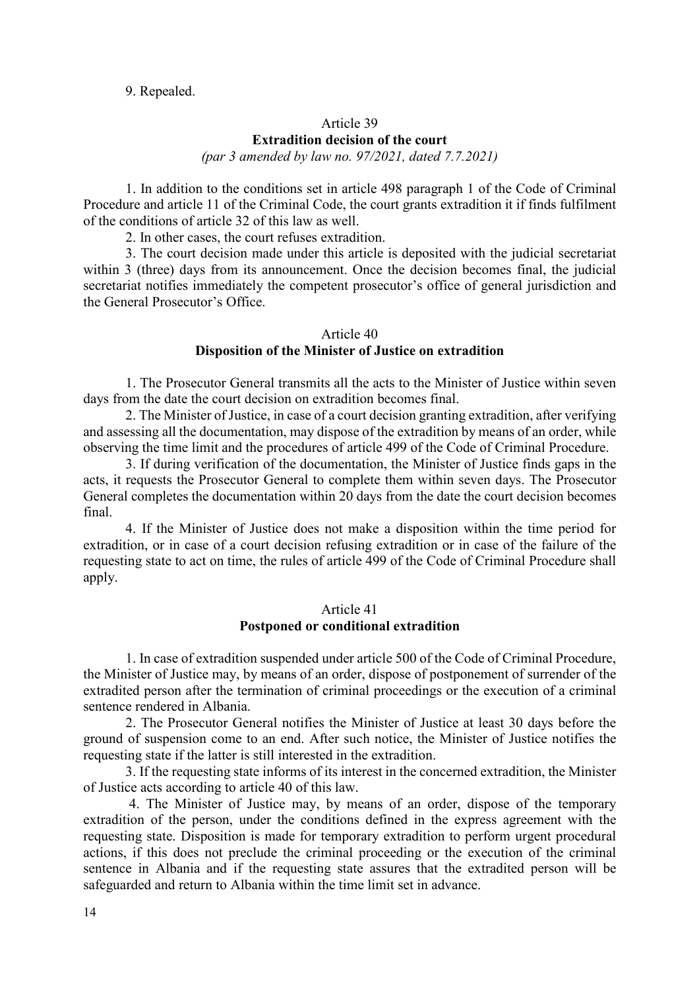#### 9. Repealed.

# Article 39 **Extradition decision of the court**

*(par 3 amended by law no. 97/2021, dated 7.7.2021)* 

1. In addition to the conditions set in article 498 paragraph 1 of the Code of Criminal Procedure and article 11 of the Criminal Code, the court grants extradition it if finds fulfilment of the conditions of article 32 of this law as well.

2. In other cases, the court refuses extradition.

3. The court decision made under this article is deposited with the judicial secretariat within 3 (three) days from its announcement. Once the decision becomes final, the judicial secretariat notifies immediately the competent prosecutor's office of general jurisdiction and the General Prosecutor's Office.

#### Article 40

#### **Disposition of the Minister of Justice on extradition**

1. The Prosecutor General transmits all the acts to the Minister of Justice within seven days from the date the court decision on extradition becomes final.

2. The Minister of Justice, in case of a court decision granting extradition, after verifying and assessing all the documentation, may dispose of the extradition by means of an order, while observing the time limit and the procedures of article 499 of the Code of Criminal Procedure.

3. If during verification of the documentation, the Minister of Justice finds gaps in the acts, it requests the Prosecutor General to complete them within seven days. The Prosecutor General completes the documentation within 20 days from the date the court decision becomes final.

4. If the Minister of Justice does not make a disposition within the time period for extradition, or in case of a court decision refusing extradition or in case of the failure of the requesting state to act on time, the rules of article 499 of the Code of Criminal Procedure shall apply.

#### Article 41 **Postponed or conditional extradition**

1. In case of extradition suspended under article 500 of the Code of Criminal Procedure, the Minister of Justice may, by means of an order, dispose of postponement of surrender of the extradited person after the termination of criminal proceedings or the execution of a criminal sentence rendered in Albania.

2. The Prosecutor General notifies the Minister of Justice at least 30 days before the ground of suspension come to an end. After such notice, the Minister of Justice notifies the requesting state if the latter is still interested in the extradition.

3. If the requesting state informs of its interest in the concerned extradition, the Minister of Justice acts according to article 40 of this law.

 4. The Minister of Justice may, by means of an order, dispose of the temporary extradition of the person, under the conditions defined in the express agreement with the requesting state. Disposition is made for temporary extradition to perform urgent procedural actions, if this does not preclude the criminal proceeding or the execution of the criminal sentence in Albania and if the requesting state assures that the extradited person will be safeguarded and return to Albania within the time limit set in advance.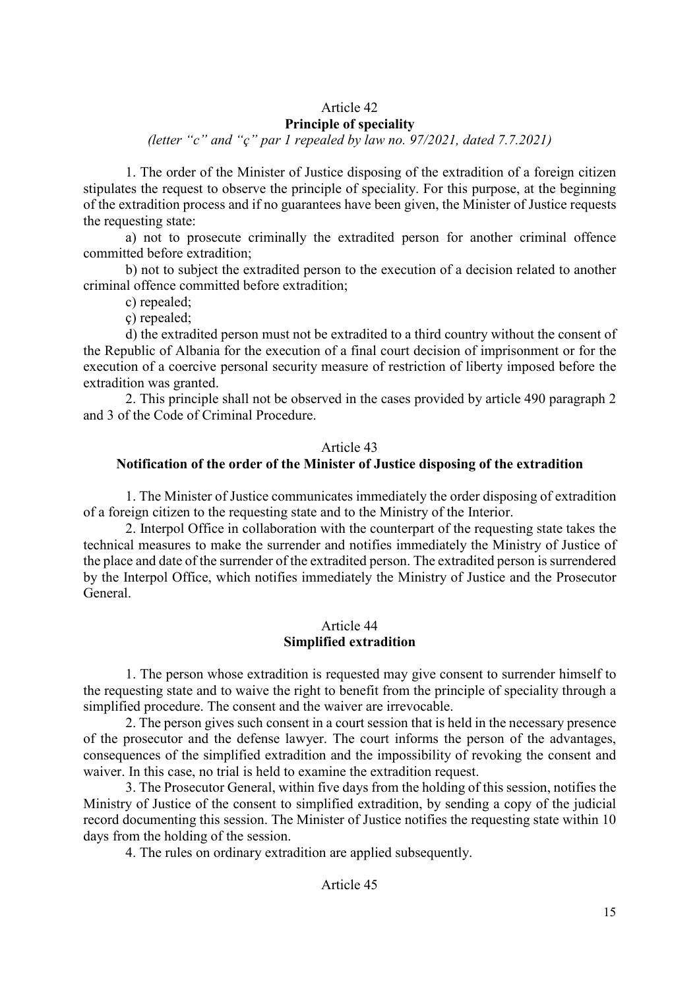# Article 42

# **Principle of speciality**

*(letter "c" and "ç" par 1 repealed by law no. 97/2021, dated 7.7.2021)* 

1. The order of the Minister of Justice disposing of the extradition of a foreign citizen stipulates the request to observe the principle of speciality. For this purpose, at the beginning of the extradition process and if no guarantees have been given, the Minister of Justice requests the requesting state:

a) not to prosecute criminally the extradited person for another criminal offence committed before extradition;

b) not to subject the extradited person to the execution of a decision related to another criminal offence committed before extradition;

c) repealed;

ç) repealed;

d) the extradited person must not be extradited to a third country without the consent of the Republic of Albania for the execution of a final court decision of imprisonment or for the execution of a coercive personal security measure of restriction of liberty imposed before the extradition was granted.

2. This principle shall not be observed in the cases provided by article 490 paragraph 2 and 3 of the Code of Criminal Procedure.

#### Article 43

## **Notification of the order of the Minister of Justice disposing of the extradition**

1. The Minister of Justice communicates immediately the order disposing of extradition of a foreign citizen to the requesting state and to the Ministry of the Interior.

2. Interpol Office in collaboration with the counterpart of the requesting state takes the technical measures to make the surrender and notifies immediately the Ministry of Justice of the place and date of the surrender of the extradited person. The extradited person is surrendered by the Interpol Office, which notifies immediately the Ministry of Justice and the Prosecutor General.

#### Article 44 **Simplified extradition**

1. The person whose extradition is requested may give consent to surrender himself to the requesting state and to waive the right to benefit from the principle of speciality through a simplified procedure. The consent and the waiver are irrevocable.

2. The person gives such consent in a court session that is held in the necessary presence of the prosecutor and the defense lawyer. The court informs the person of the advantages, consequences of the simplified extradition and the impossibility of revoking the consent and waiver. In this case, no trial is held to examine the extradition request.

3. The Prosecutor General, within five days from the holding of this session, notifies the Ministry of Justice of the consent to simplified extradition, by sending a copy of the judicial record documenting this session. The Minister of Justice notifies the requesting state within 10 days from the holding of the session.

4. The rules on ordinary extradition are applied subsequently.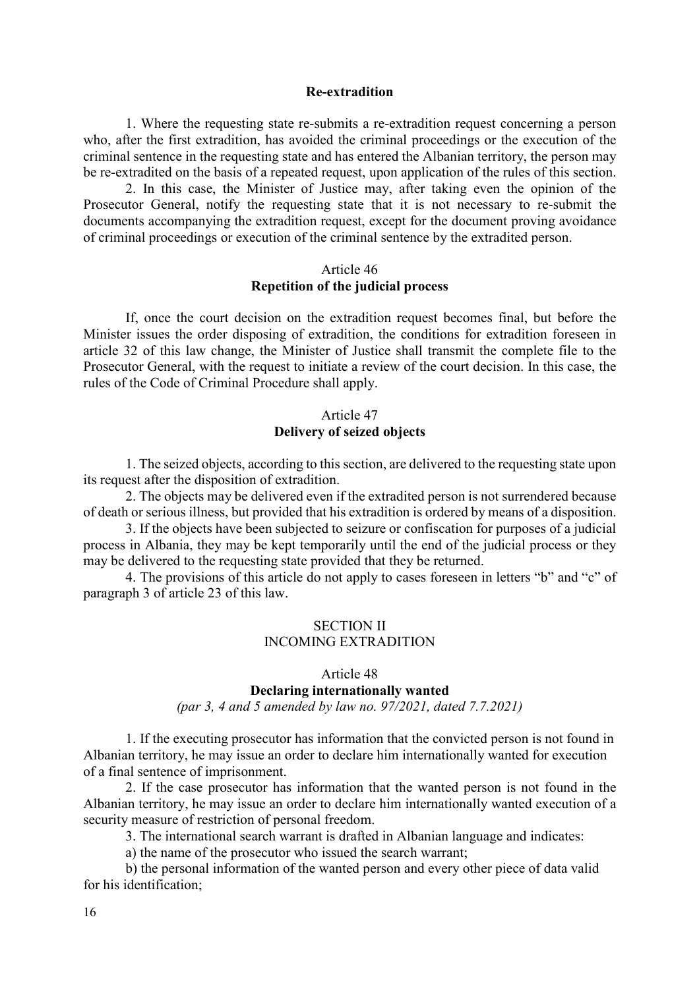#### **Re-extradition**

1. Where the requesting state re-submits a re-extradition request concerning a person who, after the first extradition, has avoided the criminal proceedings or the execution of the criminal sentence in the requesting state and has entered the Albanian territory, the person may be re-extradited on the basis of a repeated request, upon application of the rules of this section.

2. In this case, the Minister of Justice may, after taking even the opinion of the Prosecutor General, notify the requesting state that it is not necessary to re-submit the documents accompanying the extradition request, except for the document proving avoidance of criminal proceedings or execution of the criminal sentence by the extradited person.

### Article 46 **Repetition of the judicial process**

If, once the court decision on the extradition request becomes final, but before the Minister issues the order disposing of extradition, the conditions for extradition foreseen in article 32 of this law change, the Minister of Justice shall transmit the complete file to the Prosecutor General, with the request to initiate a review of the court decision. In this case, the rules of the Code of Criminal Procedure shall apply.

## Article 47 **Delivery of seized objects**

1. The seized objects, according to this section, are delivered to the requesting state upon its request after the disposition of extradition.

2. The objects may be delivered even if the extradited person is not surrendered because of death or serious illness, but provided that his extradition is ordered by means of a disposition.

3. If the objects have been subjected to seizure or confiscation for purposes of a judicial process in Albania, they may be kept temporarily until the end of the judicial process or they may be delivered to the requesting state provided that they be returned.

4. The provisions of this article do not apply to cases foreseen in letters "b" and "c" of paragraph 3 of article 23 of this law.

# SECTION II INCOMING EXTRADITION

## Article 48 **Declaring internationally wanted**

*(par 3, 4 and 5 amended by law no. 97/2021, dated 7.7.2021)* 

1. If the executing prosecutor has information that the convicted person is not found in Albanian territory, he may issue an order to declare him internationally wanted for execution of a final sentence of imprisonment.

2. If the case prosecutor has information that the wanted person is not found in the Albanian territory, he may issue an order to declare him internationally wanted execution of a security measure of restriction of personal freedom.

3. The international search warrant is drafted in Albanian language and indicates:

a) the name of the prosecutor who issued the search warrant;

b) the personal information of the wanted person and every other piece of data valid for his identification;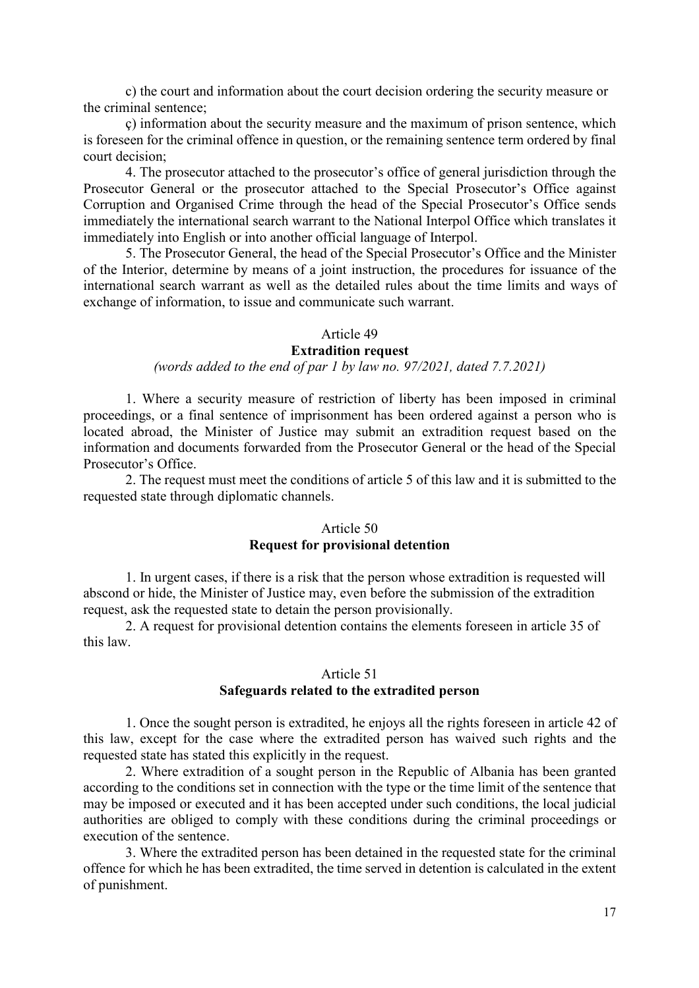c) the court and information about the court decision ordering the security measure or the criminal sentence;

ç) information about the security measure and the maximum of prison sentence, which is foreseen for the criminal offence in question, or the remaining sentence term ordered by final court decision;

4. The prosecutor attached to the prosecutor's office of general jurisdiction through the Prosecutor General or the prosecutor attached to the Special Prosecutor's Office against Corruption and Organised Crime through the head of the Special Prosecutor's Office sends immediately the international search warrant to the National Interpol Office which translates it immediately into English or into another official language of Interpol.

5. The Prosecutor General, the head of the Special Prosecutor's Office and the Minister of the Interior, determine by means of a joint instruction, the procedures for issuance of the international search warrant as well as the detailed rules about the time limits and ways of exchange of information, to issue and communicate such warrant.

## Article 49

## **Extradition request**

# *(words added to the end of par 1 by law no. 97/2021, dated 7.7.2021)*

1. Where a security measure of restriction of liberty has been imposed in criminal proceedings, or a final sentence of imprisonment has been ordered against a person who is located abroad, the Minister of Justice may submit an extradition request based on the information and documents forwarded from the Prosecutor General or the head of the Special Prosecutor's Office.

2. The request must meet the conditions of article 5 of this law and it is submitted to the requested state through diplomatic channels.

#### Article 50

## **Request for provisional detention**

1. In urgent cases, if there is a risk that the person whose extradition is requested will abscond or hide, the Minister of Justice may, even before the submission of the extradition request, ask the requested state to detain the person provisionally.

2. A request for provisional detention contains the elements foreseen in article 35 of this law.

### Article 51 **Safeguards related to the extradited person**

1. Once the sought person is extradited, he enjoys all the rights foreseen in article 42 of this law, except for the case where the extradited person has waived such rights and the requested state has stated this explicitly in the request.

2. Where extradition of a sought person in the Republic of Albania has been granted according to the conditions set in connection with the type or the time limit of the sentence that may be imposed or executed and it has been accepted under such conditions, the local judicial authorities are obliged to comply with these conditions during the criminal proceedings or execution of the sentence.

3. Where the extradited person has been detained in the requested state for the criminal offence for which he has been extradited, the time served in detention is calculated in the extent of punishment.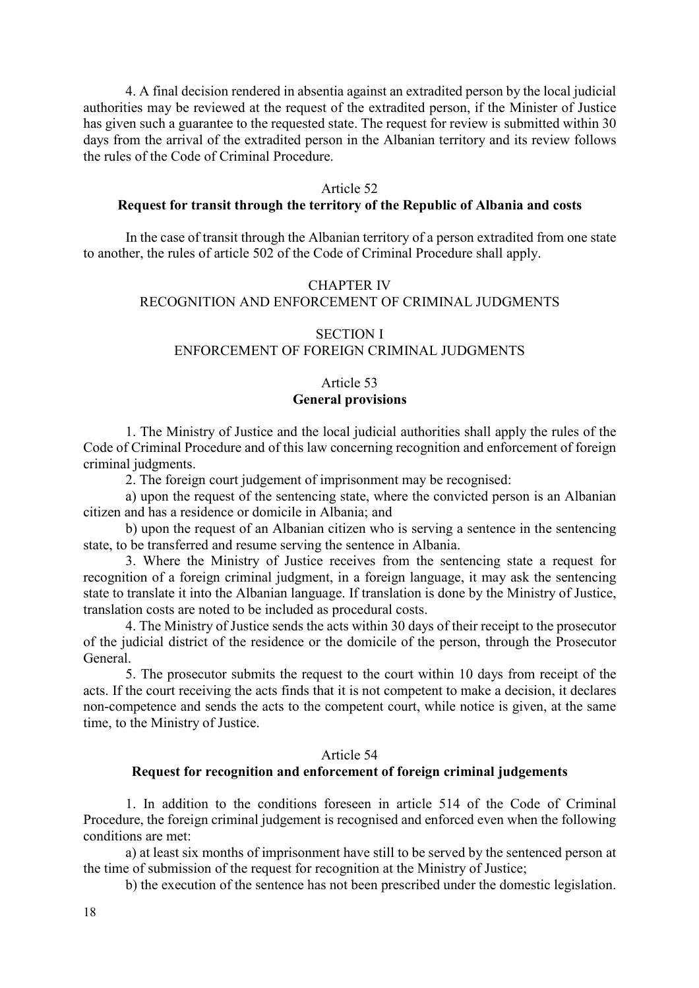4. A final decision rendered in absentia against an extradited person by the local judicial authorities may be reviewed at the request of the extradited person, if the Minister of Justice has given such a guarantee to the requested state. The request for review is submitted within 30 days from the arrival of the extradited person in the Albanian territory and its review follows the rules of the Code of Criminal Procedure.

#### Article 52

## **Request for transit through the territory of the Republic of Albania and costs**

In the case of transit through the Albanian territory of a person extradited from one state to another, the rules of article 502 of the Code of Criminal Procedure shall apply.

# CHAPTER IV RECOGNITION AND ENFORCEMENT OF CRIMINAL JUDGMENTS

#### SECTION I

#### ENFORCEMENT OF FOREIGN CRIMINAL JUDGMENTS

# Article 53 **General provisions**

1. The Ministry of Justice and the local judicial authorities shall apply the rules of the Code of Criminal Procedure and of this law concerning recognition and enforcement of foreign criminal judgments.

2. The foreign court judgement of imprisonment may be recognised:

a) upon the request of the sentencing state, where the convicted person is an Albanian citizen and has a residence or domicile in Albania; and

b) upon the request of an Albanian citizen who is serving a sentence in the sentencing state, to be transferred and resume serving the sentence in Albania.

3. Where the Ministry of Justice receives from the sentencing state a request for recognition of a foreign criminal judgment, in a foreign language, it may ask the sentencing state to translate it into the Albanian language. If translation is done by the Ministry of Justice, translation costs are noted to be included as procedural costs.

4. The Ministry of Justice sends the acts within 30 days of their receipt to the prosecutor of the judicial district of the residence or the domicile of the person, through the Prosecutor General.

5. The prosecutor submits the request to the court within 10 days from receipt of the acts. If the court receiving the acts finds that it is not competent to make a decision, it declares non-competence and sends the acts to the competent court, while notice is given, at the same time, to the Ministry of Justice.

#### Article 54

# **Request for recognition and enforcement of foreign criminal judgements**

1. In addition to the conditions foreseen in article 514 of the Code of Criminal Procedure, the foreign criminal judgement is recognised and enforced even when the following conditions are met:

a) at least six months of imprisonment have still to be served by the sentenced person at the time of submission of the request for recognition at the Ministry of Justice;

b) the execution of the sentence has not been prescribed under the domestic legislation.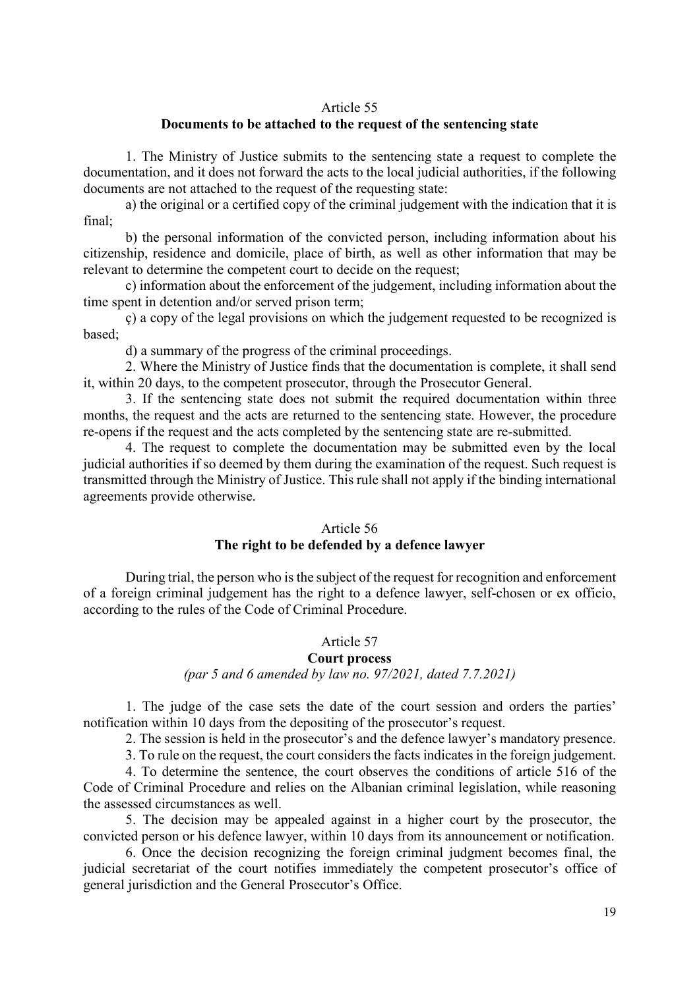#### Article 55

# **Documents to be attached to the request of the sentencing state**

1. The Ministry of Justice submits to the sentencing state a request to complete the documentation, and it does not forward the acts to the local judicial authorities, if the following documents are not attached to the request of the requesting state:

a) the original or a certified copy of the criminal judgement with the indication that it is final;

b) the personal information of the convicted person, including information about his citizenship, residence and domicile, place of birth, as well as other information that may be relevant to determine the competent court to decide on the request;

c) information about the enforcement of the judgement, including information about the time spent in detention and/or served prison term;

ç) a copy of the legal provisions on which the judgement requested to be recognized is based;

d) a summary of the progress of the criminal proceedings.

2. Where the Ministry of Justice finds that the documentation is complete, it shall send it, within 20 days, to the competent prosecutor, through the Prosecutor General.

3. If the sentencing state does not submit the required documentation within three months, the request and the acts are returned to the sentencing state. However, the procedure re-opens if the request and the acts completed by the sentencing state are re-submitted.

4. The request to complete the documentation may be submitted even by the local judicial authorities if so deemed by them during the examination of the request. Such request is transmitted through the Ministry of Justice. This rule shall not apply if the binding international agreements provide otherwise.

#### Article 56

## **The right to be defended by a defence lawyer**

During trial, the person who is the subject of the request for recognition and enforcement of a foreign criminal judgement has the right to a defence lawyer, self-chosen or ex officio, according to the rules of the Code of Criminal Procedure.

## Article 57

## **Court process**

# *(par 5 and 6 amended by law no. 97/2021, dated 7.7.2021)*

1. The judge of the case sets the date of the court session and orders the parties' notification within 10 days from the depositing of the prosecutor's request.

2. The session is held in the prosecutor's and the defence lawyer's mandatory presence.

3. To rule on the request, the court considers the facts indicates in the foreign judgement.

4. To determine the sentence, the court observes the conditions of article 516 of the Code of Criminal Procedure and relies on the Albanian criminal legislation, while reasoning the assessed circumstances as well.

5. The decision may be appealed against in a higher court by the prosecutor, the convicted person or his defence lawyer, within 10 days from its announcement or notification.

6. Once the decision recognizing the foreign criminal judgment becomes final, the judicial secretariat of the court notifies immediately the competent prosecutor's office of general jurisdiction and the General Prosecutor's Office.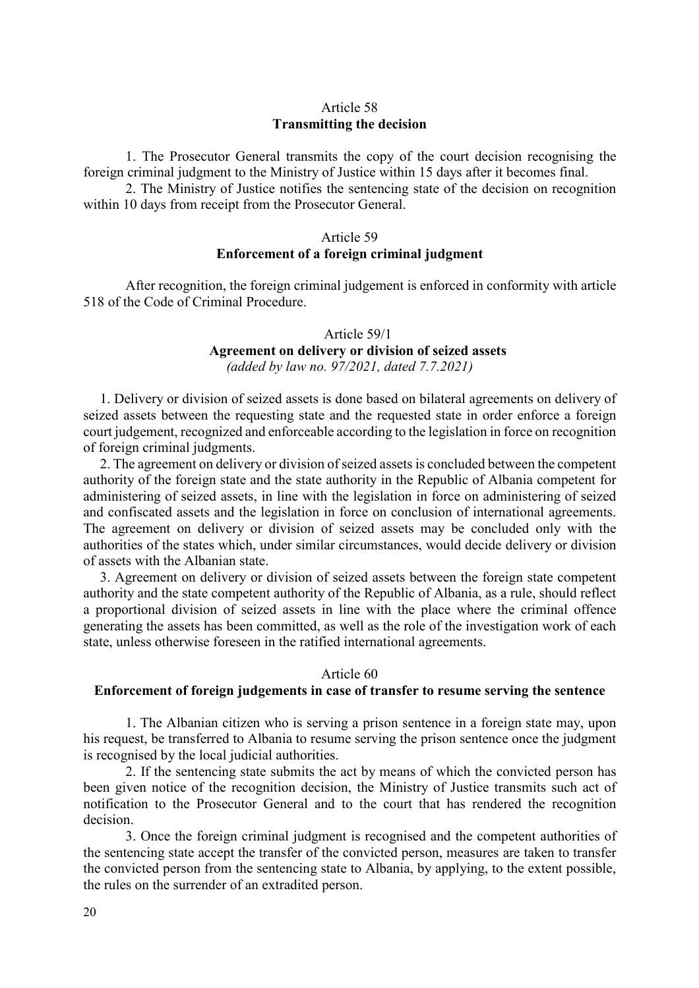## Article 58 **Transmitting the decision**

1. The Prosecutor General transmits the copy of the court decision recognising the foreign criminal judgment to the Ministry of Justice within 15 days after it becomes final.

2. The Ministry of Justice notifies the sentencing state of the decision on recognition within 10 days from receipt from the Prosecutor General.

#### Article 59

#### **Enforcement of a foreign criminal judgment**

After recognition, the foreign criminal judgement is enforced in conformity with article 518 of the Code of Criminal Procedure.

#### Article 59/1

#### **Agreement on delivery or division of seized assets**  *(added by law no. 97/2021, dated 7.7.2021)*

1. Delivery or division of seized assets is done based on bilateral agreements on delivery of seized assets between the requesting state and the requested state in order enforce a foreign court judgement, recognized and enforceable according to the legislation in force on recognition of foreign criminal judgments.

2. The agreement on delivery or division of seized assets is concluded between the competent authority of the foreign state and the state authority in the Republic of Albania competent for administering of seized assets, in line with the legislation in force on administering of seized and confiscated assets and the legislation in force on conclusion of international agreements. The agreement on delivery or division of seized assets may be concluded only with the authorities of the states which, under similar circumstances, would decide delivery or division of assets with the Albanian state.

3. Agreement on delivery or division of seized assets between the foreign state competent authority and the state competent authority of the Republic of Albania, as a rule, should reflect a proportional division of seized assets in line with the place where the criminal offence generating the assets has been committed, as well as the role of the investigation work of each state, unless otherwise foreseen in the ratified international agreements.

#### Article 60

## **Enforcement of foreign judgements in case of transfer to resume serving the sentence**

1. The Albanian citizen who is serving a prison sentence in a foreign state may, upon his request, be transferred to Albania to resume serving the prison sentence once the judgment is recognised by the local judicial authorities.

2. If the sentencing state submits the act by means of which the convicted person has been given notice of the recognition decision, the Ministry of Justice transmits such act of notification to the Prosecutor General and to the court that has rendered the recognition decision.

3. Once the foreign criminal judgment is recognised and the competent authorities of the sentencing state accept the transfer of the convicted person, measures are taken to transfer the convicted person from the sentencing state to Albania, by applying, to the extent possible, the rules on the surrender of an extradited person.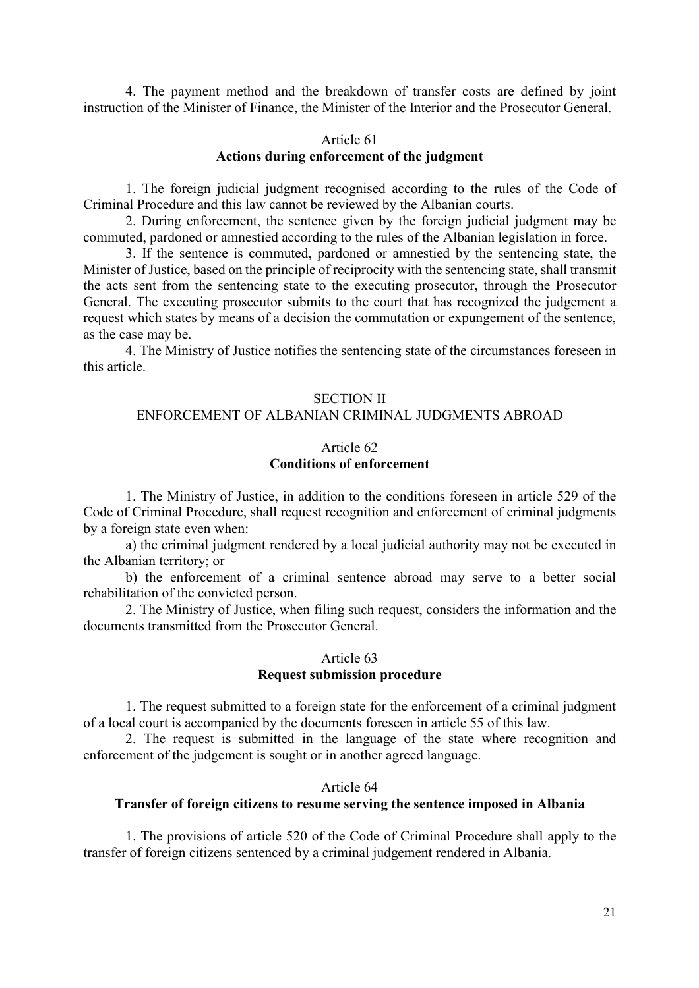4. The payment method and the breakdown of transfer costs are defined by joint instruction of the Minister of Finance, the Minister of the Interior and the Prosecutor General.

# Article 61 **Actions during enforcement of the judgment**

1. The foreign judicial judgment recognised according to the rules of the Code of Criminal Procedure and this law cannot be reviewed by the Albanian courts.

2. During enforcement, the sentence given by the foreign judicial judgment may be commuted, pardoned or amnestied according to the rules of the Albanian legislation in force.

3. If the sentence is commuted, pardoned or amnestied by the sentencing state, the Minister of Justice, based on the principle of reciprocity with the sentencing state, shall transmit the acts sent from the sentencing state to the executing prosecutor, through the Prosecutor General. The executing prosecutor submits to the court that has recognized the judgement a request which states by means of a decision the commutation or expungement of the sentence, as the case may be.

4. The Ministry of Justice notifies the sentencing state of the circumstances foreseen in this article.

#### SECTION II

# ENFORCEMENT OF ALBANIAN CRIMINAL JUDGMENTS ABROAD

## Article 62 **Conditions of enforcement**

1. The Ministry of Justice, in addition to the conditions foreseen in article 529 of the Code of Criminal Procedure, shall request recognition and enforcement of criminal judgments by a foreign state even when:

a) the criminal judgment rendered by a local judicial authority may not be executed in the Albanian territory; or

b) the enforcement of a criminal sentence abroad may serve to a better social rehabilitation of the convicted person.

2. The Ministry of Justice, when filing such request, considers the information and the documents transmitted from the Prosecutor General.

## Article 63 **Request submission procedure**

1. The request submitted to a foreign state for the enforcement of a criminal judgment of a local court is accompanied by the documents foreseen in article 55 of this law.

2. The request is submitted in the language of the state where recognition and enforcement of the judgement is sought or in another agreed language.

#### Article 64

# **Transfer of foreign citizens to resume serving the sentence imposed in Albania**

1. The provisions of article 520 of the Code of Criminal Procedure shall apply to the transfer of foreign citizens sentenced by a criminal judgement rendered in Albania.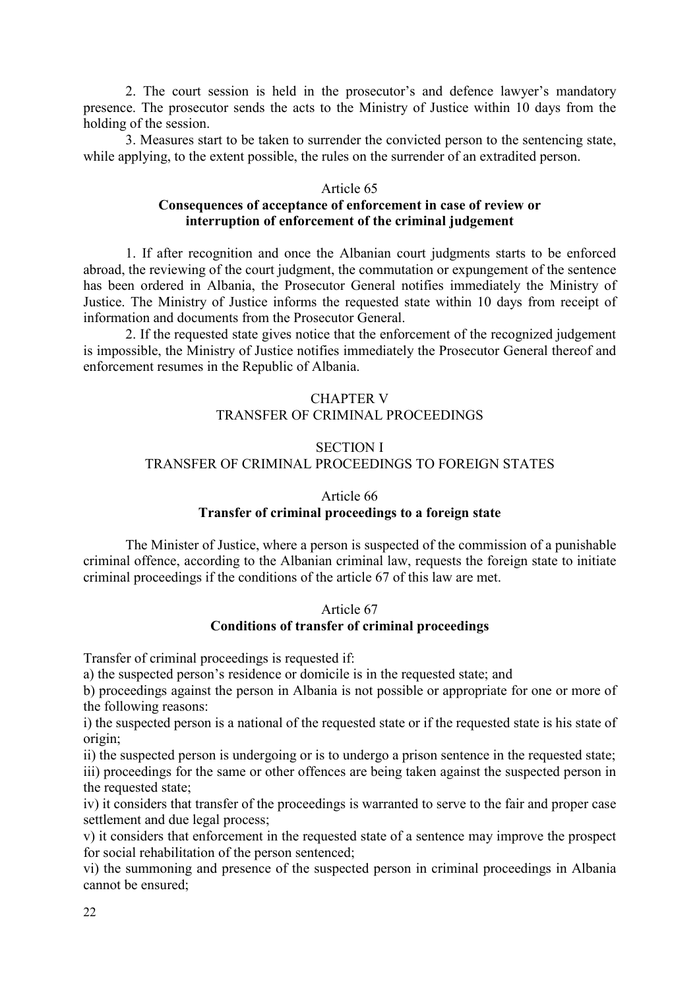2. The court session is held in the prosecutor's and defence lawyer's mandatory presence. The prosecutor sends the acts to the Ministry of Justice within 10 days from the holding of the session.

3. Measures start to be taken to surrender the convicted person to the sentencing state, while applying, to the extent possible, the rules on the surrender of an extradited person.

# Article 65

# **Consequences of acceptance of enforcement in case of review or interruption of enforcement of the criminal judgement**

1. If after recognition and once the Albanian court judgments starts to be enforced abroad, the reviewing of the court judgment, the commutation or expungement of the sentence has been ordered in Albania, the Prosecutor General notifies immediately the Ministry of Justice. The Ministry of Justice informs the requested state within 10 days from receipt of information and documents from the Prosecutor General.

2. If the requested state gives notice that the enforcement of the recognized judgement is impossible, the Ministry of Justice notifies immediately the Prosecutor General thereof and enforcement resumes in the Republic of Albania.

# CHAPTER V TRANSFER OF CRIMINAL PROCEEDINGS

# SECTION I TRANSFER OF CRIMINAL PROCEEDINGS TO FOREIGN STATES

## Article 66

## **Transfer of criminal proceedings to a foreign state**

The Minister of Justice, where a person is suspected of the commission of a punishable criminal offence, according to the Albanian criminal law, requests the foreign state to initiate criminal proceedings if the conditions of the article 67 of this law are met.

## Article 67 **Conditions of transfer of criminal proceedings**

Transfer of criminal proceedings is requested if:

a) the suspected person's residence or domicile is in the requested state; and

b) proceedings against the person in Albania is not possible or appropriate for one or more of the following reasons:

i) the suspected person is a national of the requested state or if the requested state is his state of origin;

ii) the suspected person is undergoing or is to undergo a prison sentence in the requested state; iii) proceedings for the same or other offences are being taken against the suspected person in the requested state;

iv) it considers that transfer of the proceedings is warranted to serve to the fair and proper case settlement and due legal process;

v) it considers that enforcement in the requested state of a sentence may improve the prospect for social rehabilitation of the person sentenced;

vi) the summoning and presence of the suspected person in criminal proceedings in Albania cannot be ensured;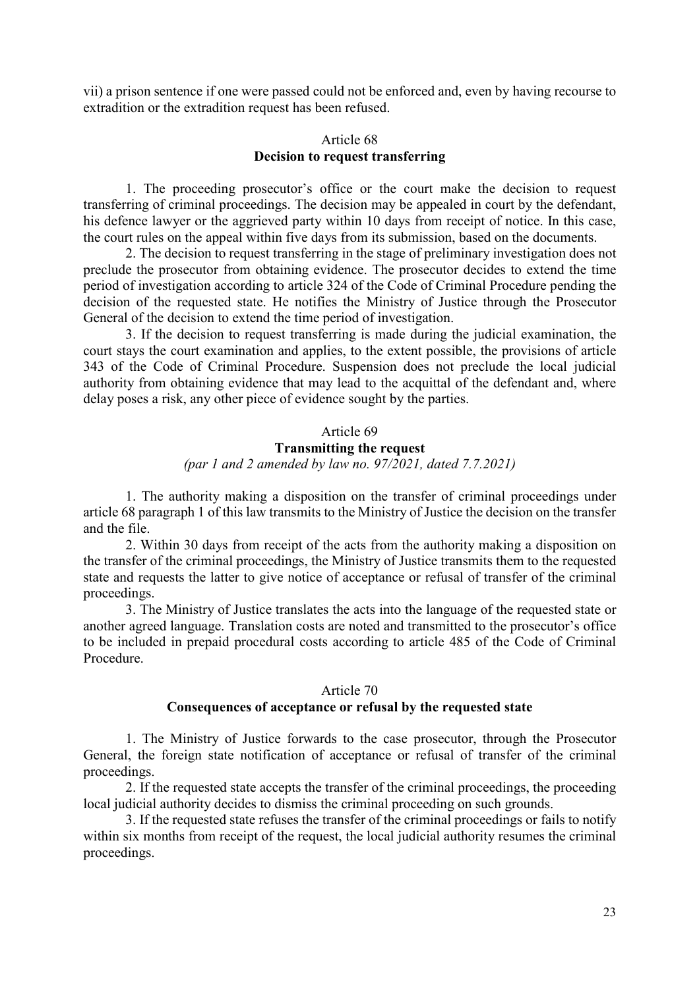vii) a prison sentence if one were passed could not be enforced and, even by having recourse to extradition or the extradition request has been refused.

# Article 68 **Decision to request transferring**

1. The proceeding prosecutor's office or the court make the decision to request transferring of criminal proceedings. The decision may be appealed in court by the defendant, his defence lawyer or the aggrieved party within 10 days from receipt of notice. In this case, the court rules on the appeal within five days from its submission, based on the documents.

2. The decision to request transferring in the stage of preliminary investigation does not preclude the prosecutor from obtaining evidence. The prosecutor decides to extend the time period of investigation according to article 324 of the Code of Criminal Procedure pending the decision of the requested state. He notifies the Ministry of Justice through the Prosecutor General of the decision to extend the time period of investigation.

3. If the decision to request transferring is made during the judicial examination, the court stays the court examination and applies, to the extent possible, the provisions of article 343 of the Code of Criminal Procedure. Suspension does not preclude the local judicial authority from obtaining evidence that may lead to the acquittal of the defendant and, where delay poses a risk, any other piece of evidence sought by the parties.

## Article 69 **Transmitting the request** *(par 1 and 2 amended by law no. 97/2021, dated 7.7.2021)*

1. The authority making a disposition on the transfer of criminal proceedings under article 68 paragraph 1 of this law transmits to the Ministry of Justice the decision on the transfer and the file.

2. Within 30 days from receipt of the acts from the authority making a disposition on the transfer of the criminal proceedings, the Ministry of Justice transmits them to the requested state and requests the latter to give notice of acceptance or refusal of transfer of the criminal proceedings.

3. The Ministry of Justice translates the acts into the language of the requested state or another agreed language. Translation costs are noted and transmitted to the prosecutor's office to be included in prepaid procedural costs according to article 485 of the Code of Criminal Procedure.

#### Article 70

#### **Consequences of acceptance or refusal by the requested state**

1. The Ministry of Justice forwards to the case prosecutor, through the Prosecutor General, the foreign state notification of acceptance or refusal of transfer of the criminal proceedings.

2. If the requested state accepts the transfer of the criminal proceedings, the proceeding local judicial authority decides to dismiss the criminal proceeding on such grounds.

3. If the requested state refuses the transfer of the criminal proceedings or fails to notify within six months from receipt of the request, the local judicial authority resumes the criminal proceedings.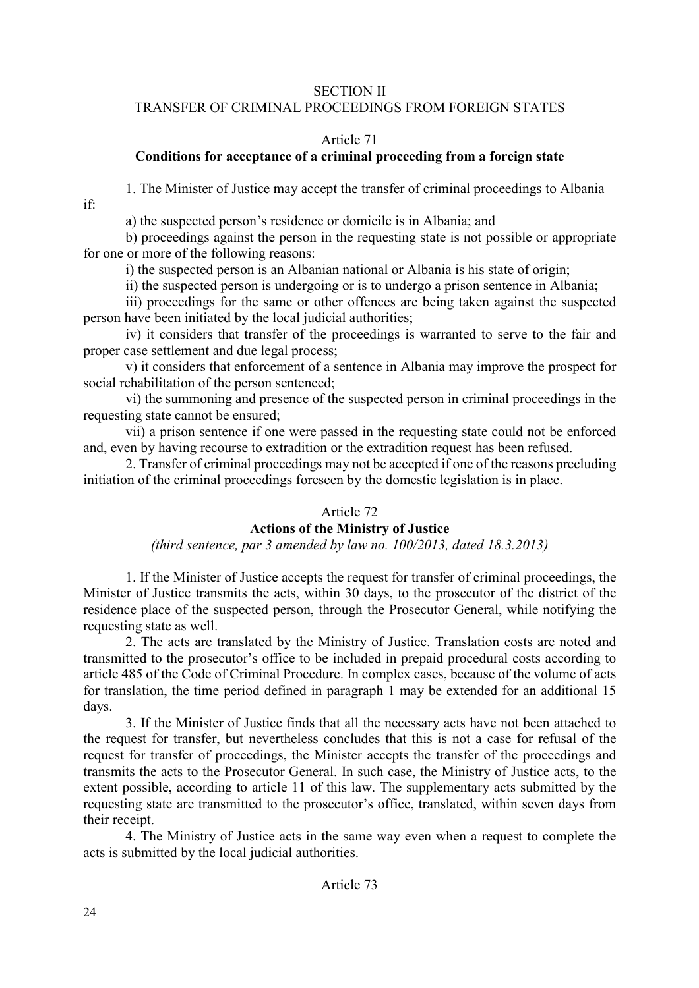## SECTION II

## TRANSFER OF CRIMINAL PROCEEDINGS FROM FOREIGN STATES

## Article 71

# **Conditions for acceptance of a criminal proceeding from a foreign state**

1. The Minister of Justice may accept the transfer of criminal proceedings to Albania

a) the suspected person's residence or domicile is in Albania; and

b) proceedings against the person in the requesting state is not possible or appropriate for one or more of the following reasons:

i) the suspected person is an Albanian national or Albania is his state of origin;

ii) the suspected person is undergoing or is to undergo a prison sentence in Albania;

iii) proceedings for the same or other offences are being taken against the suspected person have been initiated by the local judicial authorities;

iv) it considers that transfer of the proceedings is warranted to serve to the fair and proper case settlement and due legal process;

v) it considers that enforcement of a sentence in Albania may improve the prospect for social rehabilitation of the person sentenced;

vi) the summoning and presence of the suspected person in criminal proceedings in the requesting state cannot be ensured;

vii) a prison sentence if one were passed in the requesting state could not be enforced and, even by having recourse to extradition or the extradition request has been refused.

2. Transfer of criminal proceedings may not be accepted if one of the reasons precluding initiation of the criminal proceedings foreseen by the domestic legislation is in place.

# Article 72

# **Actions of the Ministry of Justice**

*(third sentence, par 3 amended by law no. 100/2013, dated 18.3.2013)* 

1. If the Minister of Justice accepts the request for transfer of criminal proceedings, the Minister of Justice transmits the acts, within 30 days, to the prosecutor of the district of the residence place of the suspected person, through the Prosecutor General, while notifying the requesting state as well.

2. The acts are translated by the Ministry of Justice. Translation costs are noted and transmitted to the prosecutor's office to be included in prepaid procedural costs according to article 485 of the Code of Criminal Procedure. In complex cases, because of the volume of acts for translation, the time period defined in paragraph 1 may be extended for an additional 15 days.

3. If the Minister of Justice finds that all the necessary acts have not been attached to the request for transfer, but nevertheless concludes that this is not a case for refusal of the request for transfer of proceedings, the Minister accepts the transfer of the proceedings and transmits the acts to the Prosecutor General. In such case, the Ministry of Justice acts, to the extent possible, according to article 11 of this law. The supplementary acts submitted by the requesting state are transmitted to the prosecutor's office, translated, within seven days from their receipt.

4. The Ministry of Justice acts in the same way even when a request to complete the acts is submitted by the local judicial authorities.

if: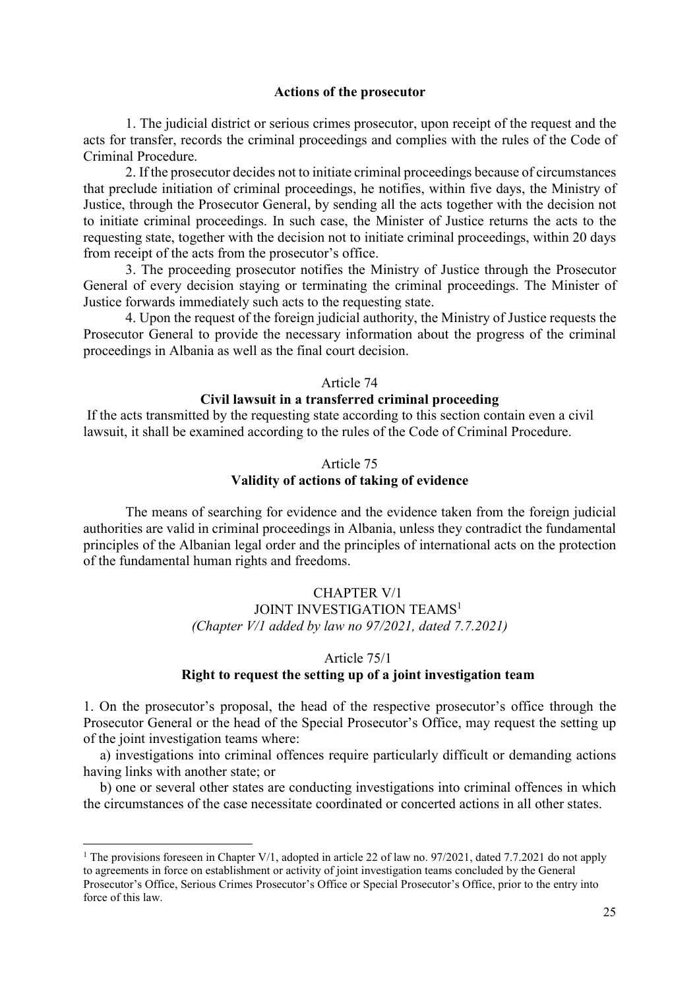#### **Actions of the prosecutor**

1. The judicial district or serious crimes prosecutor, upon receipt of the request and the acts for transfer, records the criminal proceedings and complies with the rules of the Code of Criminal Procedure.

2. If the prosecutor decides not to initiate criminal proceedings because of circumstances that preclude initiation of criminal proceedings, he notifies, within five days, the Ministry of Justice, through the Prosecutor General, by sending all the acts together with the decision not to initiate criminal proceedings. In such case, the Minister of Justice returns the acts to the requesting state, together with the decision not to initiate criminal proceedings, within 20 days from receipt of the acts from the prosecutor's office.

3. The proceeding prosecutor notifies the Ministry of Justice through the Prosecutor General of every decision staying or terminating the criminal proceedings. The Minister of Justice forwards immediately such acts to the requesting state.

4. Upon the request of the foreign judicial authority, the Ministry of Justice requests the Prosecutor General to provide the necessary information about the progress of the criminal proceedings in Albania as well as the final court decision.

## Article 74

## **Civil lawsuit in a transferred criminal proceeding**

If the acts transmitted by the requesting state according to this section contain even a civil lawsuit, it shall be examined according to the rules of the Code of Criminal Procedure.

#### Article 75 **Validity of actions of taking of evidence**

The means of searching for evidence and the evidence taken from the foreign judicial authorities are valid in criminal proceedings in Albania, unless they contradict the fundamental principles of the Albanian legal order and the principles of international acts on the protection of the fundamental human rights and freedoms.

#### CHAPTER V/1

JOINT INVESTIGATION TEAMS<sup>1</sup>

*(Chapter V/1 added by law no 97/2021, dated 7.7.2021)* 

#### Article 75/1

# **Right to request the setting up of a joint investigation team**

1. On the prosecutor's proposal, the head of the respective prosecutor's office through the Prosecutor General or the head of the Special Prosecutor's Office, may request the setting up of the joint investigation teams where:

a) investigations into criminal offences require particularly difficult or demanding actions having links with another state; or

b) one or several other states are conducting investigations into criminal offences in which the circumstances of the case necessitate coordinated or concerted actions in all other states.

 $\overline{a}$ 

<sup>&</sup>lt;sup>1</sup> The provisions foreseen in Chapter V/1, adopted in article 22 of law no. 97/2021, dated 7.7.2021 do not apply to agreements in force on establishment or activity of joint investigation teams concluded by the General Prosecutor's Office, Serious Crimes Prosecutor's Office or Special Prosecutor's Office, prior to the entry into force of this law.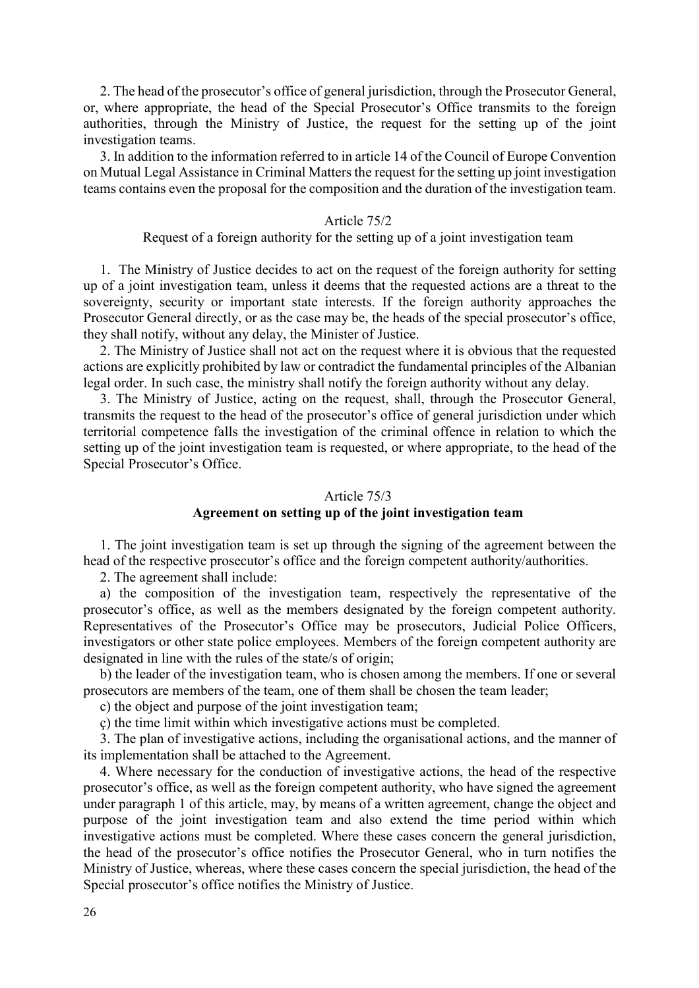2. The head of the prosecutor's office of general jurisdiction, through the Prosecutor General, or, where appropriate, the head of the Special Prosecutor's Office transmits to the foreign authorities, through the Ministry of Justice, the request for the setting up of the joint investigation teams.

3. In addition to the information referred to in article 14 of the Council of Europe Convention on Mutual Legal Assistance in Criminal Matters the request for the setting up joint investigation teams contains even the proposal for the composition and the duration of the investigation team.

#### Article 75/2

#### Request of a foreign authority for the setting up of a joint investigation team

1. The Ministry of Justice decides to act on the request of the foreign authority for setting up of a joint investigation team, unless it deems that the requested actions are a threat to the sovereignty, security or important state interests. If the foreign authority approaches the Prosecutor General directly, or as the case may be, the heads of the special prosecutor's office, they shall notify, without any delay, the Minister of Justice.

2. The Ministry of Justice shall not act on the request where it is obvious that the requested actions are explicitly prohibited by law or contradict the fundamental principles of the Albanian legal order. In such case, the ministry shall notify the foreign authority without any delay.

3. The Ministry of Justice, acting on the request, shall, through the Prosecutor General, transmits the request to the head of the prosecutor's office of general jurisdiction under which territorial competence falls the investigation of the criminal offence in relation to which the setting up of the joint investigation team is requested, or where appropriate, to the head of the Special Prosecutor's Office.

#### Article 75/3

## **Agreement on setting up of the joint investigation team**

1. The joint investigation team is set up through the signing of the agreement between the head of the respective prosecutor's office and the foreign competent authority/authorities.

2. The agreement shall include:

a) the composition of the investigation team, respectively the representative of the prosecutor's office, as well as the members designated by the foreign competent authority. Representatives of the Prosecutor's Office may be prosecutors, Judicial Police Officers, investigators or other state police employees. Members of the foreign competent authority are designated in line with the rules of the state/s of origin;

b) the leader of the investigation team, who is chosen among the members. If one or several prosecutors are members of the team, one of them shall be chosen the team leader;

c) the object and purpose of the joint investigation team;

ç) the time limit within which investigative actions must be completed.

3. The plan of investigative actions, including the organisational actions, and the manner of its implementation shall be attached to the Agreement.

4. Where necessary for the conduction of investigative actions, the head of the respective prosecutor's office, as well as the foreign competent authority, who have signed the agreement under paragraph 1 of this article, may, by means of a written agreement, change the object and purpose of the joint investigation team and also extend the time period within which investigative actions must be completed. Where these cases concern the general jurisdiction, the head of the prosecutor's office notifies the Prosecutor General, who in turn notifies the Ministry of Justice, whereas, where these cases concern the special jurisdiction, the head of the Special prosecutor's office notifies the Ministry of Justice.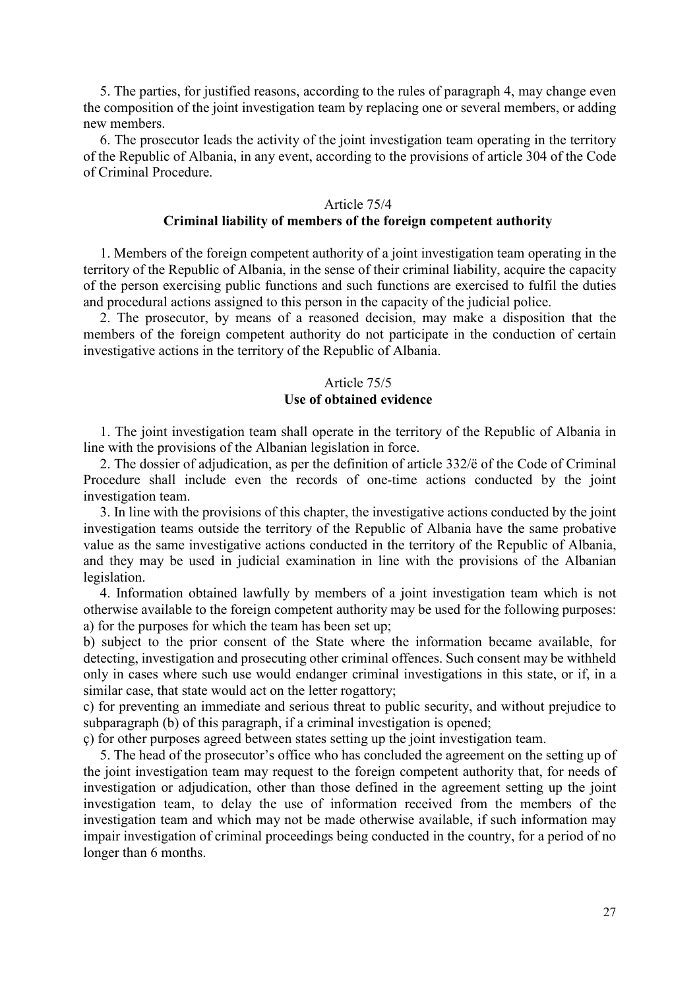5. The parties, for justified reasons, according to the rules of paragraph 4, may change even the composition of the joint investigation team by replacing one or several members, or adding new members.

6. The prosecutor leads the activity of the joint investigation team operating in the territory of the Republic of Albania, in any event, according to the provisions of article 304 of the Code of Criminal Procedure.

#### Article 75/4 **Criminal liability of members of the foreign competent authority**

1. Members of the foreign competent authority of a joint investigation team operating in the territory of the Republic of Albania, in the sense of their criminal liability, acquire the capacity of the person exercising public functions and such functions are exercised to fulfil the duties and procedural actions assigned to this person in the capacity of the judicial police.

2. The prosecutor, by means of a reasoned decision, may make a disposition that the members of the foreign competent authority do not participate in the conduction of certain investigative actions in the territory of the Republic of Albania.

# Article 75/5 **Use of obtained evidence**

1. The joint investigation team shall operate in the territory of the Republic of Albania in line with the provisions of the Albanian legislation in force.

2. The dossier of adjudication, as per the definition of article 332/ë of the Code of Criminal Procedure shall include even the records of one-time actions conducted by the joint investigation team.

3. In line with the provisions of this chapter, the investigative actions conducted by the joint investigation teams outside the territory of the Republic of Albania have the same probative value as the same investigative actions conducted in the territory of the Republic of Albania, and they may be used in judicial examination in line with the provisions of the Albanian legislation.

4. Information obtained lawfully by members of a joint investigation team which is not otherwise available to the foreign competent authority may be used for the following purposes: a) for the purposes for which the team has been set up;

b) subject to the prior consent of the State where the information became available, for detecting, investigation and prosecuting other criminal offences. Such consent may be withheld only in cases where such use would endanger criminal investigations in this state, or if, in a similar case, that state would act on the letter rogattory;

c) for preventing an immediate and serious threat to public security, and without prejudice to subparagraph (b) of this paragraph, if a criminal investigation is opened;

ç) for other purposes agreed between states setting up the joint investigation team.

5. The head of the prosecutor's office who has concluded the agreement on the setting up of the joint investigation team may request to the foreign competent authority that, for needs of investigation or adjudication, other than those defined in the agreement setting up the joint investigation team, to delay the use of information received from the members of the investigation team and which may not be made otherwise available, if such information may impair investigation of criminal proceedings being conducted in the country, for a period of no longer than 6 months.